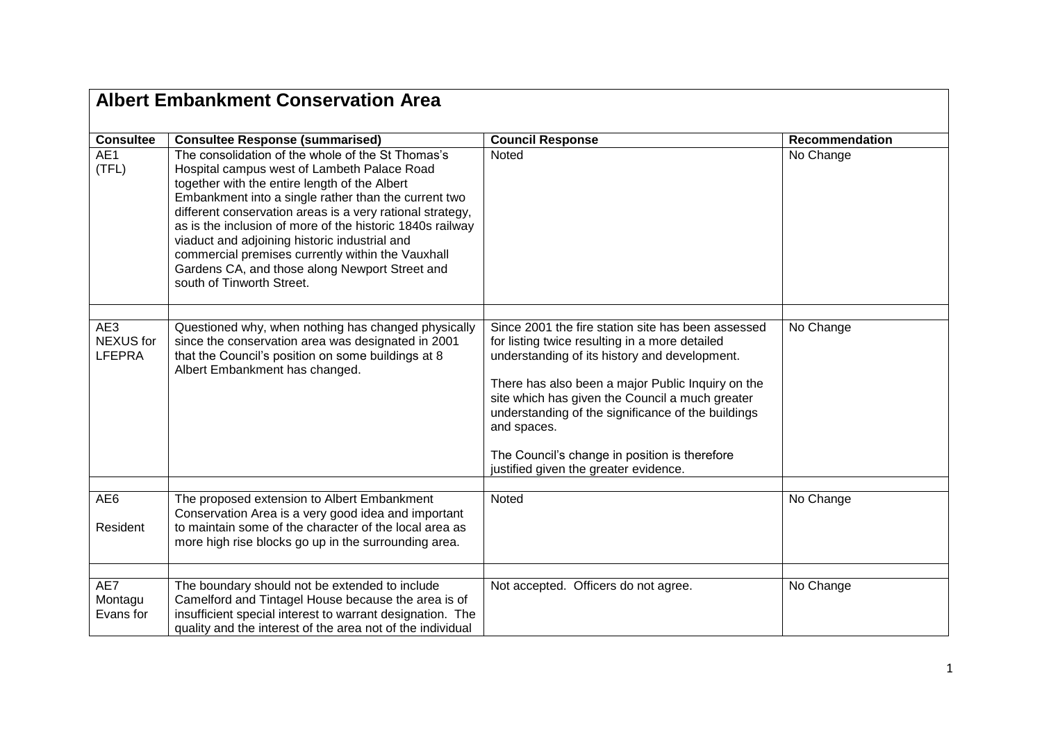|                                          | <b>Albert Embankment Conservation Area</b>                                                                                                                                                                                                                                                                                                                                                                                                                                                                               |                                                                                                                                                                                                                                                                                                                                                                                                                              |                |  |  |
|------------------------------------------|--------------------------------------------------------------------------------------------------------------------------------------------------------------------------------------------------------------------------------------------------------------------------------------------------------------------------------------------------------------------------------------------------------------------------------------------------------------------------------------------------------------------------|------------------------------------------------------------------------------------------------------------------------------------------------------------------------------------------------------------------------------------------------------------------------------------------------------------------------------------------------------------------------------------------------------------------------------|----------------|--|--|
| <b>Consultee</b>                         | <b>Consultee Response (summarised)</b>                                                                                                                                                                                                                                                                                                                                                                                                                                                                                   | <b>Council Response</b>                                                                                                                                                                                                                                                                                                                                                                                                      | Recommendation |  |  |
| AE1<br>(TFL)                             | The consolidation of the whole of the St Thomas's<br>Hospital campus west of Lambeth Palace Road<br>together with the entire length of the Albert<br>Embankment into a single rather than the current two<br>different conservation areas is a very rational strategy,<br>as is the inclusion of more of the historic 1840s railway<br>viaduct and adjoining historic industrial and<br>commercial premises currently within the Vauxhall<br>Gardens CA, and those along Newport Street and<br>south of Tinworth Street. | Noted                                                                                                                                                                                                                                                                                                                                                                                                                        | No Change      |  |  |
| AE3<br><b>NEXUS</b> for<br><b>LFEPRA</b> | Questioned why, when nothing has changed physically<br>since the conservation area was designated in 2001<br>that the Council's position on some buildings at 8<br>Albert Embankment has changed.                                                                                                                                                                                                                                                                                                                        | Since 2001 the fire station site has been assessed<br>for listing twice resulting in a more detailed<br>understanding of its history and development.<br>There has also been a major Public Inquiry on the<br>site which has given the Council a much greater<br>understanding of the significance of the buildings<br>and spaces.<br>The Council's change in position is therefore<br>justified given the greater evidence. | No Change      |  |  |
| AE6                                      | The proposed extension to Albert Embankment                                                                                                                                                                                                                                                                                                                                                                                                                                                                              | Noted                                                                                                                                                                                                                                                                                                                                                                                                                        | No Change      |  |  |
| Resident                                 | Conservation Area is a very good idea and important<br>to maintain some of the character of the local area as<br>more high rise blocks go up in the surrounding area.                                                                                                                                                                                                                                                                                                                                                    |                                                                                                                                                                                                                                                                                                                                                                                                                              |                |  |  |
| AE7                                      | The boundary should not be extended to include                                                                                                                                                                                                                                                                                                                                                                                                                                                                           | Not accepted. Officers do not agree.                                                                                                                                                                                                                                                                                                                                                                                         | No Change      |  |  |
| Montagu<br>Evans for                     | Camelford and Tintagel House because the area is of<br>insufficient special interest to warrant designation. The<br>quality and the interest of the area not of the individual                                                                                                                                                                                                                                                                                                                                           |                                                                                                                                                                                                                                                                                                                                                                                                                              |                |  |  |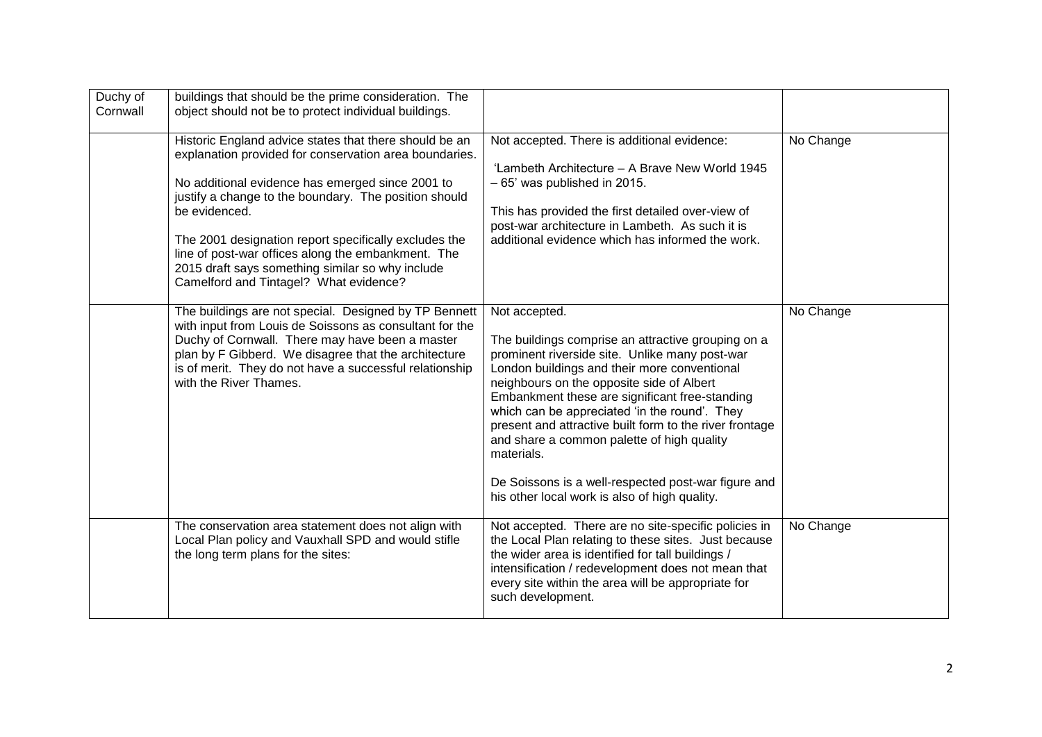| Duchy of<br>Cornwall | buildings that should be the prime consideration. The<br>object should not be to protect individual buildings.                                                                                                                                                                                                                                                                                                                                              |                                                                                                                                                                                                                                                                                                                                                                                                                                                                                                                                                      |           |
|----------------------|-------------------------------------------------------------------------------------------------------------------------------------------------------------------------------------------------------------------------------------------------------------------------------------------------------------------------------------------------------------------------------------------------------------------------------------------------------------|------------------------------------------------------------------------------------------------------------------------------------------------------------------------------------------------------------------------------------------------------------------------------------------------------------------------------------------------------------------------------------------------------------------------------------------------------------------------------------------------------------------------------------------------------|-----------|
|                      | Historic England advice states that there should be an<br>explanation provided for conservation area boundaries.<br>No additional evidence has emerged since 2001 to<br>justify a change to the boundary. The position should<br>be evidenced.<br>The 2001 designation report specifically excludes the<br>line of post-war offices along the embankment. The<br>2015 draft says something similar so why include<br>Camelford and Tintagel? What evidence? | Not accepted. There is additional evidence:<br>'Lambeth Architecture - A Brave New World 1945<br>$-65'$ was published in 2015.<br>This has provided the first detailed over-view of<br>post-war architecture in Lambeth. As such it is<br>additional evidence which has informed the work.                                                                                                                                                                                                                                                           | No Change |
|                      | The buildings are not special. Designed by TP Bennett<br>with input from Louis de Soissons as consultant for the<br>Duchy of Cornwall. There may have been a master<br>plan by F Gibberd. We disagree that the architecture<br>is of merit. They do not have a successful relationship<br>with the River Thames.                                                                                                                                            | Not accepted.<br>The buildings comprise an attractive grouping on a<br>prominent riverside site. Unlike many post-war<br>London buildings and their more conventional<br>neighbours on the opposite side of Albert<br>Embankment these are significant free-standing<br>which can be appreciated 'in the round'. They<br>present and attractive built form to the river frontage<br>and share a common palette of high quality<br>materials.<br>De Soissons is a well-respected post-war figure and<br>his other local work is also of high quality. | No Change |
|                      | The conservation area statement does not align with<br>Local Plan policy and Vauxhall SPD and would stifle<br>the long term plans for the sites:                                                                                                                                                                                                                                                                                                            | Not accepted. There are no site-specific policies in<br>the Local Plan relating to these sites. Just because<br>the wider area is identified for tall buildings /<br>intensification / redevelopment does not mean that<br>every site within the area will be appropriate for<br>such development.                                                                                                                                                                                                                                                   | No Change |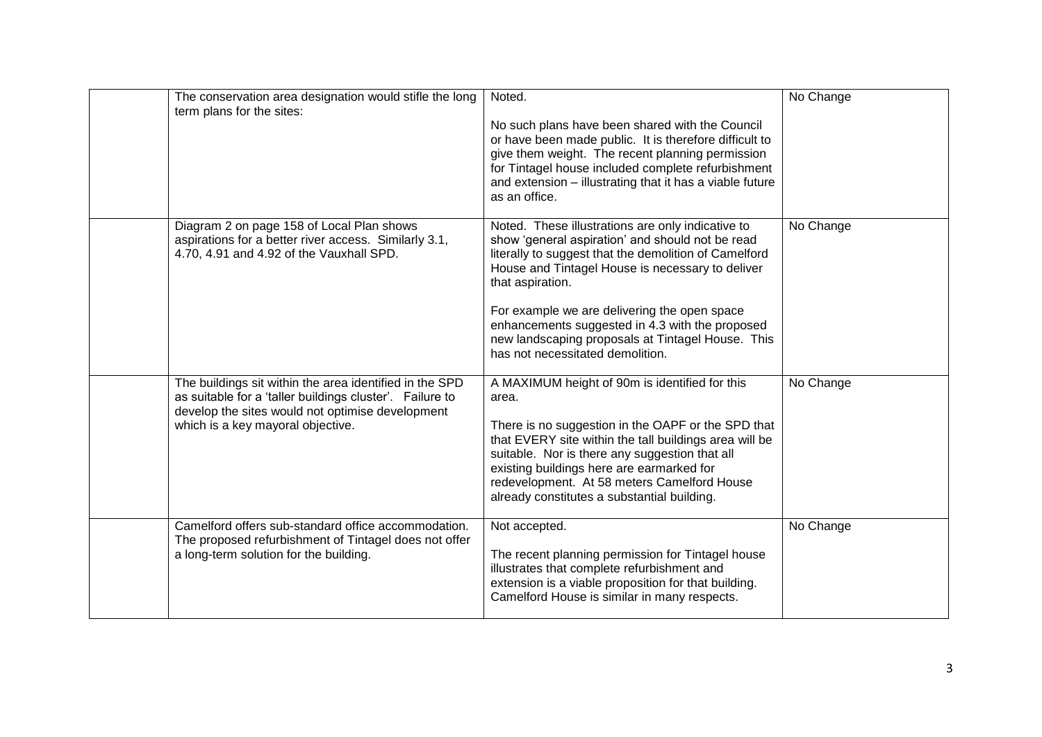| The conservation area designation would stifle the long<br>term plans for the sites:                                                                                                                         | Noted.<br>No such plans have been shared with the Council<br>or have been made public. It is therefore difficult to<br>give them weight. The recent planning permission<br>for Tintagel house included complete refurbishment<br>and extension - illustrating that it has a viable future<br>as an office.                                                                                                                         | No Change |
|--------------------------------------------------------------------------------------------------------------------------------------------------------------------------------------------------------------|------------------------------------------------------------------------------------------------------------------------------------------------------------------------------------------------------------------------------------------------------------------------------------------------------------------------------------------------------------------------------------------------------------------------------------|-----------|
| Diagram 2 on page 158 of Local Plan shows<br>aspirations for a better river access. Similarly 3.1,<br>4.70, 4.91 and 4.92 of the Vauxhall SPD.                                                               | Noted. These illustrations are only indicative to<br>show 'general aspiration' and should not be read<br>literally to suggest that the demolition of Camelford<br>House and Tintagel House is necessary to deliver<br>that aspiration.<br>For example we are delivering the open space<br>enhancements suggested in 4.3 with the proposed<br>new landscaping proposals at Tintagel House. This<br>has not necessitated demolition. | No Change |
| The buildings sit within the area identified in the SPD<br>as suitable for a 'taller buildings cluster'. Failure to<br>develop the sites would not optimise development<br>which is a key mayoral objective. | A MAXIMUM height of 90m is identified for this<br>area.<br>There is no suggestion in the OAPF or the SPD that<br>that EVERY site within the tall buildings area will be<br>suitable. Nor is there any suggestion that all<br>existing buildings here are earmarked for<br>redevelopment. At 58 meters Camelford House<br>already constitutes a substantial building.                                                               | No Change |
| Camelford offers sub-standard office accommodation.<br>The proposed refurbishment of Tintagel does not offer<br>a long-term solution for the building.                                                       | Not accepted.<br>The recent planning permission for Tintagel house<br>illustrates that complete refurbishment and<br>extension is a viable proposition for that building.<br>Camelford House is similar in many respects.                                                                                                                                                                                                          | No Change |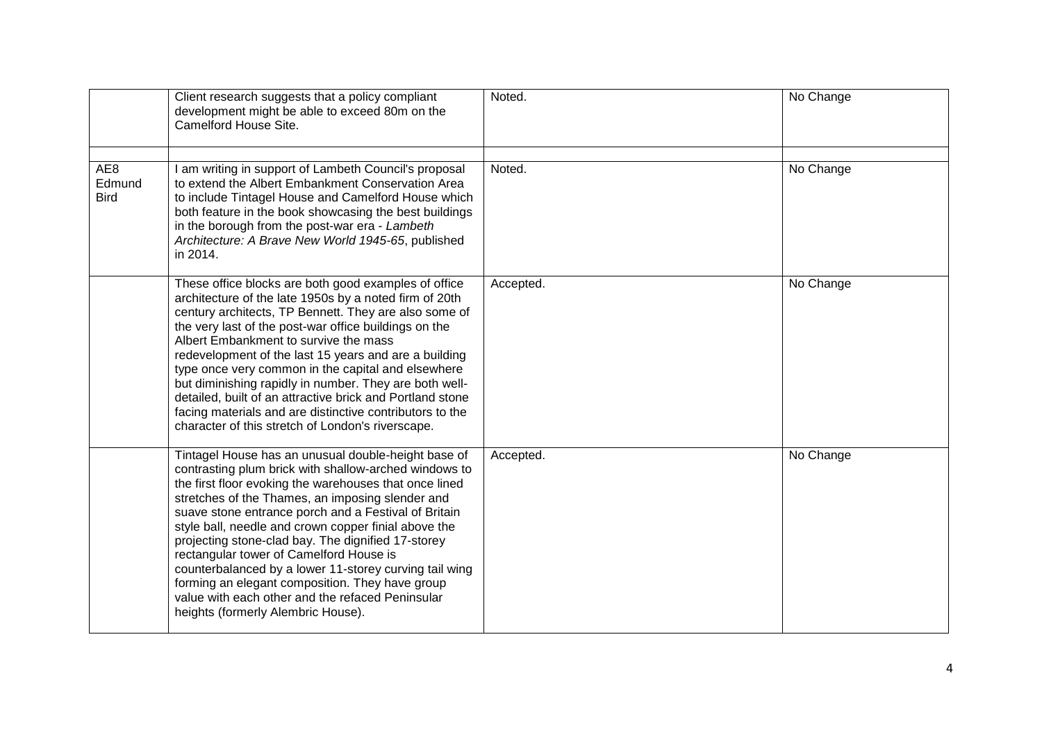|                              | Client research suggests that a policy compliant<br>development might be able to exceed 80m on the<br>Camelford House Site.                                                                                                                                                                                                                                                                                                                                                                                                                                                                                                                        | Noted.    | No Change |
|------------------------------|----------------------------------------------------------------------------------------------------------------------------------------------------------------------------------------------------------------------------------------------------------------------------------------------------------------------------------------------------------------------------------------------------------------------------------------------------------------------------------------------------------------------------------------------------------------------------------------------------------------------------------------------------|-----------|-----------|
| AE8<br>Edmund<br><b>Bird</b> | I am writing in support of Lambeth Council's proposal<br>to extend the Albert Embankment Conservation Area<br>to include Tintagel House and Camelford House which<br>both feature in the book showcasing the best buildings<br>in the borough from the post-war era - Lambeth<br>Architecture: A Brave New World 1945-65, published<br>in 2014.                                                                                                                                                                                                                                                                                                    | Noted.    | No Change |
|                              | These office blocks are both good examples of office<br>architecture of the late 1950s by a noted firm of 20th<br>century architects, TP Bennett. They are also some of<br>the very last of the post-war office buildings on the<br>Albert Embankment to survive the mass<br>redevelopment of the last 15 years and are a building<br>type once very common in the capital and elsewhere<br>but diminishing rapidly in number. They are both well-<br>detailed, built of an attractive brick and Portland stone<br>facing materials and are distinctive contributors to the<br>character of this stretch of London's riverscape.                   | Accepted. | No Change |
|                              | Tintagel House has an unusual double-height base of<br>contrasting plum brick with shallow-arched windows to<br>the first floor evoking the warehouses that once lined<br>stretches of the Thames, an imposing slender and<br>suave stone entrance porch and a Festival of Britain<br>style ball, needle and crown copper finial above the<br>projecting stone-clad bay. The dignified 17-storey<br>rectangular tower of Camelford House is<br>counterbalanced by a lower 11-storey curving tail wing<br>forming an elegant composition. They have group<br>value with each other and the refaced Peninsular<br>heights (formerly Alembric House). | Accepted. | No Change |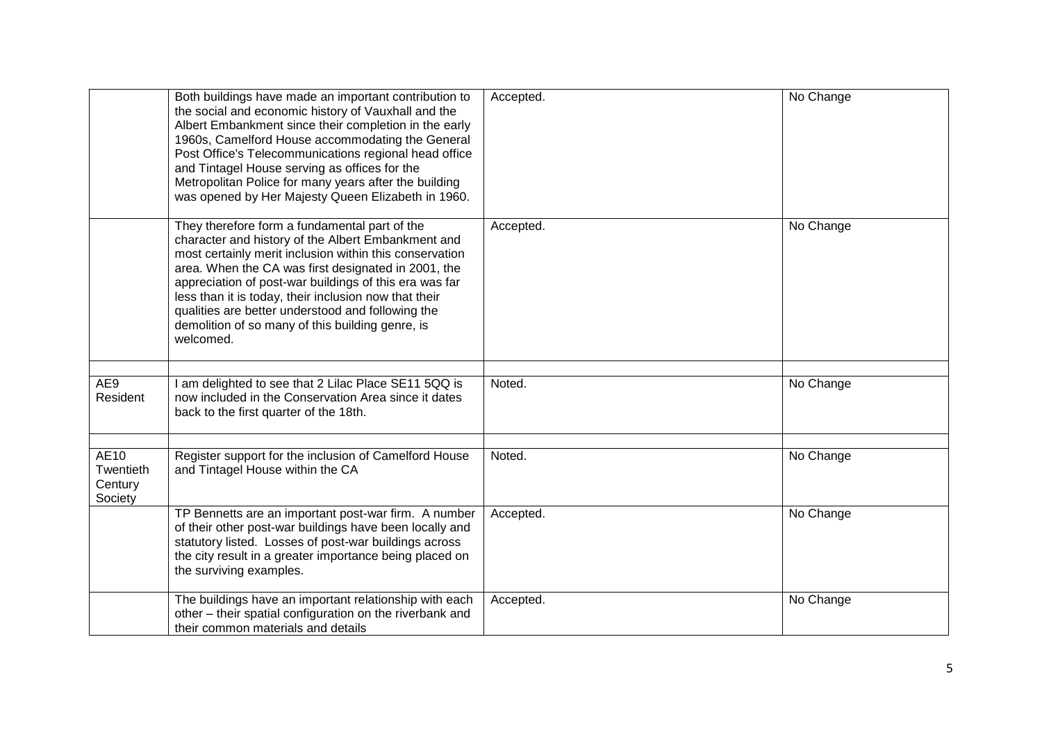|                                         | Both buildings have made an important contribution to<br>the social and economic history of Vauxhall and the<br>Albert Embankment since their completion in the early<br>1960s, Camelford House accommodating the General<br>Post Office's Telecommunications regional head office<br>and Tintagel House serving as offices for the<br>Metropolitan Police for many years after the building<br>was opened by Her Majesty Queen Elizabeth in 1960.             | Accepted. | No Change |
|-----------------------------------------|----------------------------------------------------------------------------------------------------------------------------------------------------------------------------------------------------------------------------------------------------------------------------------------------------------------------------------------------------------------------------------------------------------------------------------------------------------------|-----------|-----------|
|                                         | They therefore form a fundamental part of the<br>character and history of the Albert Embankment and<br>most certainly merit inclusion within this conservation<br>area. When the CA was first designated in 2001, the<br>appreciation of post-war buildings of this era was far<br>less than it is today, their inclusion now that their<br>qualities are better understood and following the<br>demolition of so many of this building genre, is<br>welcomed. | Accepted. | No Change |
| AE9<br>Resident                         | I am delighted to see that 2 Lilac Place SE11 5QQ is<br>now included in the Conservation Area since it dates<br>back to the first quarter of the 18th.                                                                                                                                                                                                                                                                                                         | Noted.    | No Change |
| AE10<br>Twentieth<br>Century<br>Society | Register support for the inclusion of Camelford House<br>and Tintagel House within the CA                                                                                                                                                                                                                                                                                                                                                                      | Noted.    | No Change |
|                                         | TP Bennetts are an important post-war firm. A number<br>of their other post-war buildings have been locally and<br>statutory listed. Losses of post-war buildings across<br>the city result in a greater importance being placed on<br>the surviving examples.                                                                                                                                                                                                 | Accepted. | No Change |
|                                         | The buildings have an important relationship with each<br>other - their spatial configuration on the riverbank and<br>their common materials and details                                                                                                                                                                                                                                                                                                       | Accepted. | No Change |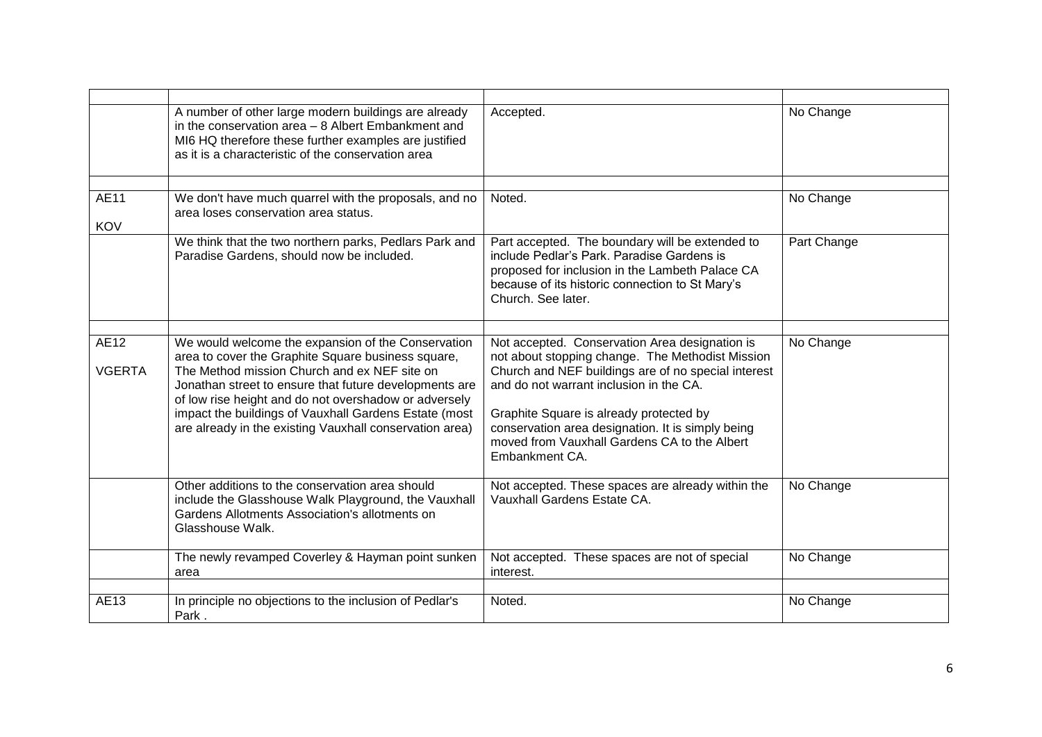|                       | A number of other large modern buildings are already<br>in the conservation area - 8 Albert Embankment and<br>MI6 HQ therefore these further examples are justified<br>as it is a characteristic of the conservation area                                                                                                                                                                       | Accepted.                                                                                                                                                                                                                                                                                                                                                              | No Change   |
|-----------------------|-------------------------------------------------------------------------------------------------------------------------------------------------------------------------------------------------------------------------------------------------------------------------------------------------------------------------------------------------------------------------------------------------|------------------------------------------------------------------------------------------------------------------------------------------------------------------------------------------------------------------------------------------------------------------------------------------------------------------------------------------------------------------------|-------------|
|                       |                                                                                                                                                                                                                                                                                                                                                                                                 |                                                                                                                                                                                                                                                                                                                                                                        |             |
| AE11<br><b>KOV</b>    | We don't have much quarrel with the proposals, and no<br>area loses conservation area status.                                                                                                                                                                                                                                                                                                   | Noted.                                                                                                                                                                                                                                                                                                                                                                 | No Change   |
|                       | We think that the two northern parks, Pedlars Park and<br>Paradise Gardens, should now be included.                                                                                                                                                                                                                                                                                             | Part accepted. The boundary will be extended to<br>include Pedlar's Park. Paradise Gardens is<br>proposed for inclusion in the Lambeth Palace CA<br>because of its historic connection to St Mary's<br>Church. See later.                                                                                                                                              | Part Change |
|                       |                                                                                                                                                                                                                                                                                                                                                                                                 |                                                                                                                                                                                                                                                                                                                                                                        |             |
| AE12<br><b>VGERTA</b> | We would welcome the expansion of the Conservation<br>area to cover the Graphite Square business square,<br>The Method mission Church and ex NEF site on<br>Jonathan street to ensure that future developments are<br>of low rise height and do not overshadow or adversely<br>impact the buildings of Vauxhall Gardens Estate (most<br>are already in the existing Vauxhall conservation area) | Not accepted. Conservation Area designation is<br>not about stopping change. The Methodist Mission<br>Church and NEF buildings are of no special interest<br>and do not warrant inclusion in the CA.<br>Graphite Square is already protected by<br>conservation area designation. It is simply being<br>moved from Vauxhall Gardens CA to the Albert<br>Embankment CA. | No Change   |
|                       | Other additions to the conservation area should<br>include the Glasshouse Walk Playground, the Vauxhall<br>Gardens Allotments Association's allotments on<br>Glasshouse Walk.                                                                                                                                                                                                                   | Not accepted. These spaces are already within the<br>Vauxhall Gardens Estate CA.                                                                                                                                                                                                                                                                                       | No Change   |
|                       | The newly revamped Coverley & Hayman point sunken<br>area                                                                                                                                                                                                                                                                                                                                       | Not accepted. These spaces are not of special<br>interest.                                                                                                                                                                                                                                                                                                             | No Change   |
|                       |                                                                                                                                                                                                                                                                                                                                                                                                 |                                                                                                                                                                                                                                                                                                                                                                        |             |
| AE13                  | In principle no objections to the inclusion of Pedlar's<br>Park.                                                                                                                                                                                                                                                                                                                                | Noted.                                                                                                                                                                                                                                                                                                                                                                 | No Change   |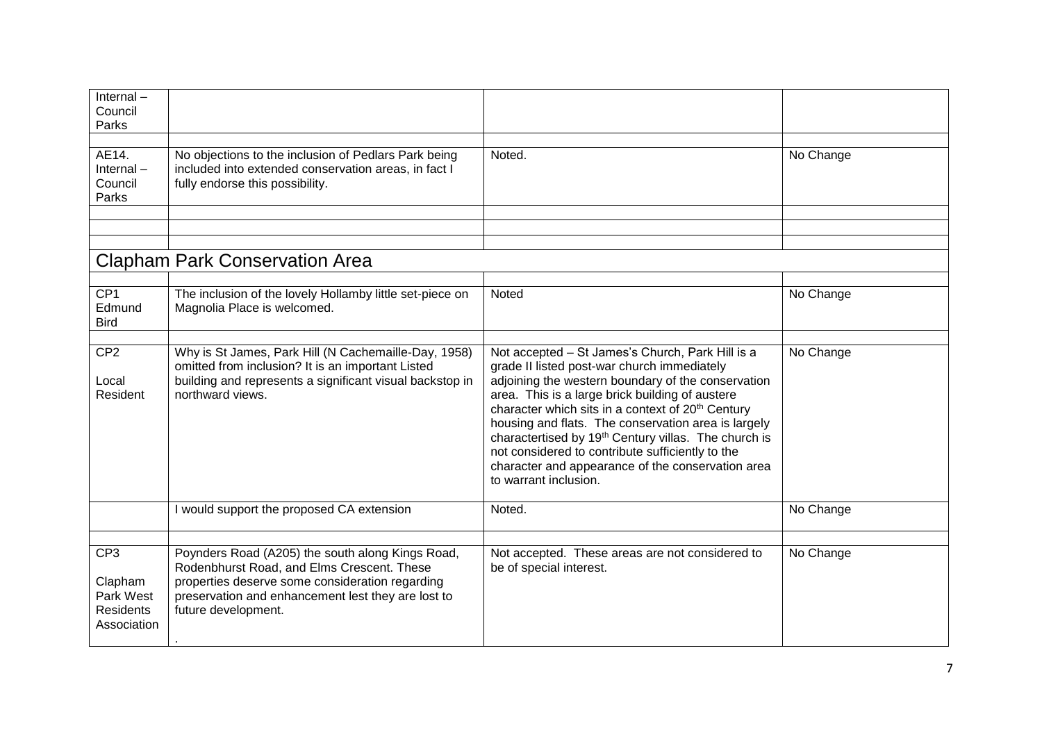| $Internal -$                                                               |                                                                                                                                                                                                                                |                                                                                                                                                                                                                                                                                                                                                                                                                                                                                                                                        |           |
|----------------------------------------------------------------------------|--------------------------------------------------------------------------------------------------------------------------------------------------------------------------------------------------------------------------------|----------------------------------------------------------------------------------------------------------------------------------------------------------------------------------------------------------------------------------------------------------------------------------------------------------------------------------------------------------------------------------------------------------------------------------------------------------------------------------------------------------------------------------------|-----------|
| Council<br>Parks                                                           |                                                                                                                                                                                                                                |                                                                                                                                                                                                                                                                                                                                                                                                                                                                                                                                        |           |
|                                                                            |                                                                                                                                                                                                                                |                                                                                                                                                                                                                                                                                                                                                                                                                                                                                                                                        |           |
| AE14.<br>$Internal -$<br>Council<br>Parks                                  | No objections to the inclusion of Pedlars Park being<br>included into extended conservation areas, in fact I<br>fully endorse this possibility.                                                                                | Noted.                                                                                                                                                                                                                                                                                                                                                                                                                                                                                                                                 | No Change |
|                                                                            |                                                                                                                                                                                                                                |                                                                                                                                                                                                                                                                                                                                                                                                                                                                                                                                        |           |
|                                                                            |                                                                                                                                                                                                                                |                                                                                                                                                                                                                                                                                                                                                                                                                                                                                                                                        |           |
|                                                                            | <b>Clapham Park Conservation Area</b>                                                                                                                                                                                          |                                                                                                                                                                                                                                                                                                                                                                                                                                                                                                                                        |           |
|                                                                            |                                                                                                                                                                                                                                |                                                                                                                                                                                                                                                                                                                                                                                                                                                                                                                                        |           |
| CP1<br>Edmund<br><b>Bird</b>                                               | The inclusion of the lovely Hollamby little set-piece on<br>Magnolia Place is welcomed.                                                                                                                                        | Noted                                                                                                                                                                                                                                                                                                                                                                                                                                                                                                                                  | No Change |
|                                                                            |                                                                                                                                                                                                                                |                                                                                                                                                                                                                                                                                                                                                                                                                                                                                                                                        |           |
| CP <sub>2</sub><br>Local<br>Resident                                       | Why is St James, Park Hill (N Cachemaille-Day, 1958)<br>omitted from inclusion? It is an important Listed<br>building and represents a significant visual backstop in<br>northward views.                                      | Not accepted - St James's Church, Park Hill is a<br>grade II listed post-war church immediately<br>adjoining the western boundary of the conservation<br>area. This is a large brick building of austere<br>character which sits in a context of 20 <sup>th</sup> Century<br>housing and flats. The conservation area is largely<br>charactertised by 19 <sup>th</sup> Century villas. The church is<br>not considered to contribute sufficiently to the<br>character and appearance of the conservation area<br>to warrant inclusion. | No Change |
|                                                                            | I would support the proposed CA extension                                                                                                                                                                                      | Noted.                                                                                                                                                                                                                                                                                                                                                                                                                                                                                                                                 | No Change |
|                                                                            |                                                                                                                                                                                                                                |                                                                                                                                                                                                                                                                                                                                                                                                                                                                                                                                        |           |
| CP <sub>3</sub><br>Clapham<br>Park West<br><b>Residents</b><br>Association | Poynders Road (A205) the south along Kings Road,<br>Rodenbhurst Road, and Elms Crescent. These<br>properties deserve some consideration regarding<br>preservation and enhancement lest they are lost to<br>future development. | Not accepted. These areas are not considered to<br>be of special interest.                                                                                                                                                                                                                                                                                                                                                                                                                                                             | No Change |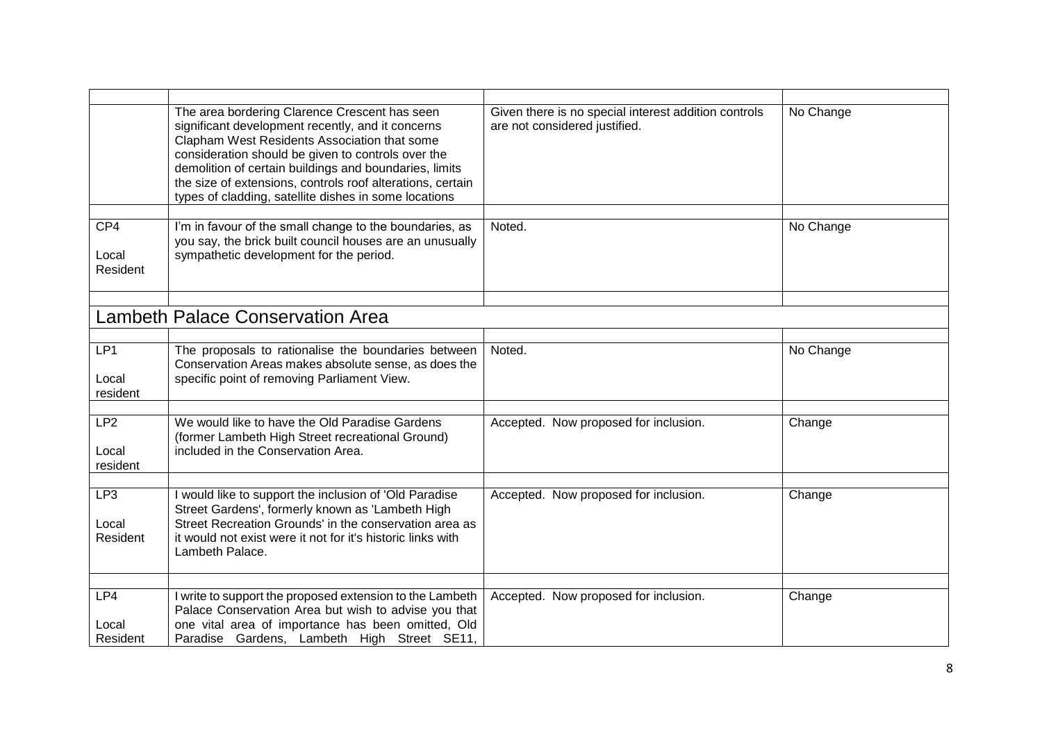|                                      | The area bordering Clarence Crescent has seen<br>significant development recently, and it concerns<br>Clapham West Residents Association that some<br>consideration should be given to controls over the<br>demolition of certain buildings and boundaries, limits<br>the size of extensions, controls roof alterations, certain<br>types of cladding, satellite dishes in some locations | Given there is no special interest addition controls<br>are not considered justified. | No Change |
|--------------------------------------|-------------------------------------------------------------------------------------------------------------------------------------------------------------------------------------------------------------------------------------------------------------------------------------------------------------------------------------------------------------------------------------------|---------------------------------------------------------------------------------------|-----------|
| CP4                                  | I'm in favour of the small change to the boundaries, as                                                                                                                                                                                                                                                                                                                                   | Noted.                                                                                | No Change |
| Local<br>Resident                    | you say, the brick built council houses are an unusually<br>sympathetic development for the period.                                                                                                                                                                                                                                                                                       |                                                                                       |           |
|                                      |                                                                                                                                                                                                                                                                                                                                                                                           |                                                                                       |           |
|                                      | <b>Lambeth Palace Conservation Area</b>                                                                                                                                                                                                                                                                                                                                                   |                                                                                       |           |
|                                      |                                                                                                                                                                                                                                                                                                                                                                                           |                                                                                       |           |
| LP1<br>Local<br>resident             | The proposals to rationalise the boundaries between<br>Conservation Areas makes absolute sense, as does the<br>specific point of removing Parliament View.                                                                                                                                                                                                                                | Noted.                                                                                | No Change |
|                                      |                                                                                                                                                                                                                                                                                                                                                                                           |                                                                                       |           |
| LP <sub>2</sub><br>Local<br>resident | We would like to have the Old Paradise Gardens<br>(former Lambeth High Street recreational Ground)<br>included in the Conservation Area.                                                                                                                                                                                                                                                  | Accepted. Now proposed for inclusion.                                                 | Change    |
| LP3                                  | I would like to support the inclusion of 'Old Paradise                                                                                                                                                                                                                                                                                                                                    |                                                                                       |           |
| Local<br>Resident                    | Street Gardens', formerly known as 'Lambeth High<br>Street Recreation Grounds' in the conservation area as<br>it would not exist were it not for it's historic links with<br>Lambeth Palace.                                                                                                                                                                                              | Accepted. Now proposed for inclusion.                                                 | Change    |
|                                      |                                                                                                                                                                                                                                                                                                                                                                                           |                                                                                       |           |
| LP4                                  | I write to support the proposed extension to the Lambeth<br>Palace Conservation Area but wish to advise you that                                                                                                                                                                                                                                                                          | Accepted. Now proposed for inclusion.                                                 | Change    |
| Local<br>Resident                    | one vital area of importance has been omitted, Old<br>Paradise Gardens, Lambeth High Street SE11,                                                                                                                                                                                                                                                                                         |                                                                                       |           |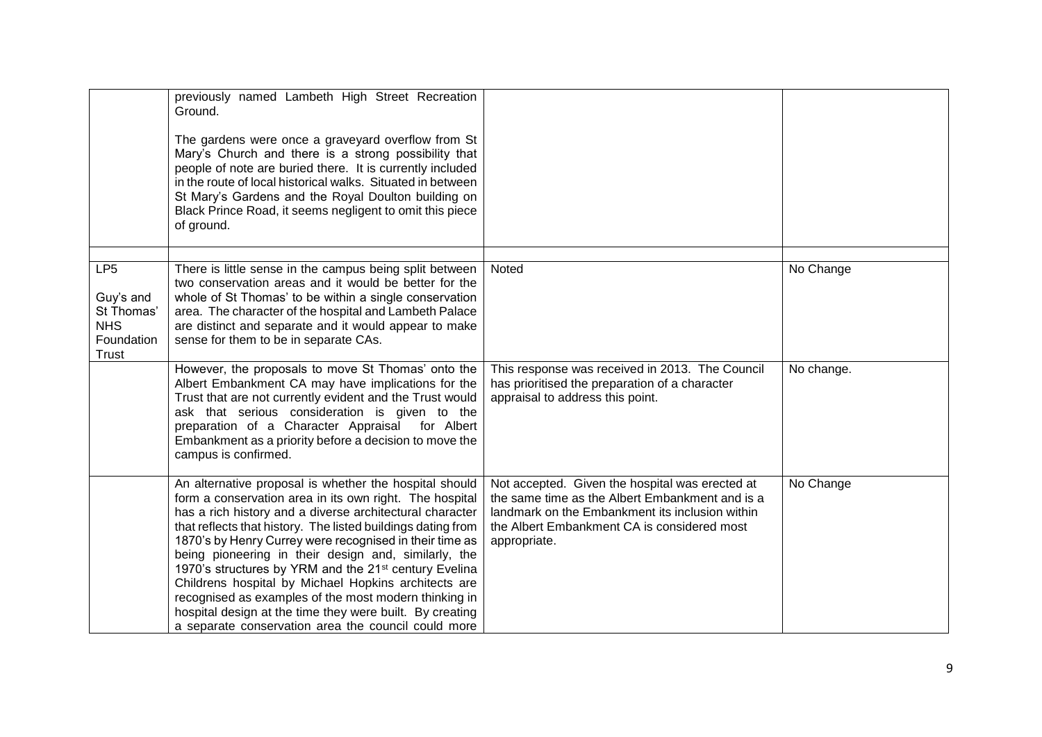|                                                                                 | previously named Lambeth High Street Recreation<br>Ground.<br>The gardens were once a graveyard overflow from St<br>Mary's Church and there is a strong possibility that<br>people of note are buried there. It is currently included<br>in the route of local historical walks. Situated in between<br>St Mary's Gardens and the Royal Doulton building on<br>Black Prince Road, it seems negligent to omit this piece<br>of ground.                                                                                                                                                                                                                                     |                                                                                                                                                                                                                      |            |
|---------------------------------------------------------------------------------|---------------------------------------------------------------------------------------------------------------------------------------------------------------------------------------------------------------------------------------------------------------------------------------------------------------------------------------------------------------------------------------------------------------------------------------------------------------------------------------------------------------------------------------------------------------------------------------------------------------------------------------------------------------------------|----------------------------------------------------------------------------------------------------------------------------------------------------------------------------------------------------------------------|------------|
| LP <sub>5</sub><br>Guy's and<br>St Thomas'<br><b>NHS</b><br>Foundation<br>Trust | There is little sense in the campus being split between<br>two conservation areas and it would be better for the<br>whole of St Thomas' to be within a single conservation<br>area. The character of the hospital and Lambeth Palace<br>are distinct and separate and it would appear to make<br>sense for them to be in separate CAs.                                                                                                                                                                                                                                                                                                                                    | Noted                                                                                                                                                                                                                | No Change  |
|                                                                                 | However, the proposals to move St Thomas' onto the<br>Albert Embankment CA may have implications for the<br>Trust that are not currently evident and the Trust would<br>ask that serious consideration is given to the<br>preparation of a Character Appraisal for Albert<br>Embankment as a priority before a decision to move the<br>campus is confirmed.                                                                                                                                                                                                                                                                                                               | This response was received in 2013. The Council<br>has prioritised the preparation of a character<br>appraisal to address this point.                                                                                | No change. |
|                                                                                 | An alternative proposal is whether the hospital should<br>form a conservation area in its own right. The hospital<br>has a rich history and a diverse architectural character<br>that reflects that history. The listed buildings dating from<br>1870's by Henry Currey were recognised in their time as<br>being pioneering in their design and, similarly, the<br>1970's structures by YRM and the 21 <sup>st</sup> century Evelina<br>Childrens hospital by Michael Hopkins architects are<br>recognised as examples of the most modern thinking in<br>hospital design at the time they were built. By creating<br>a separate conservation area the council could more | Not accepted. Given the hospital was erected at<br>the same time as the Albert Embankment and is a<br>landmark on the Embankment its inclusion within<br>the Albert Embankment CA is considered most<br>appropriate. | No Change  |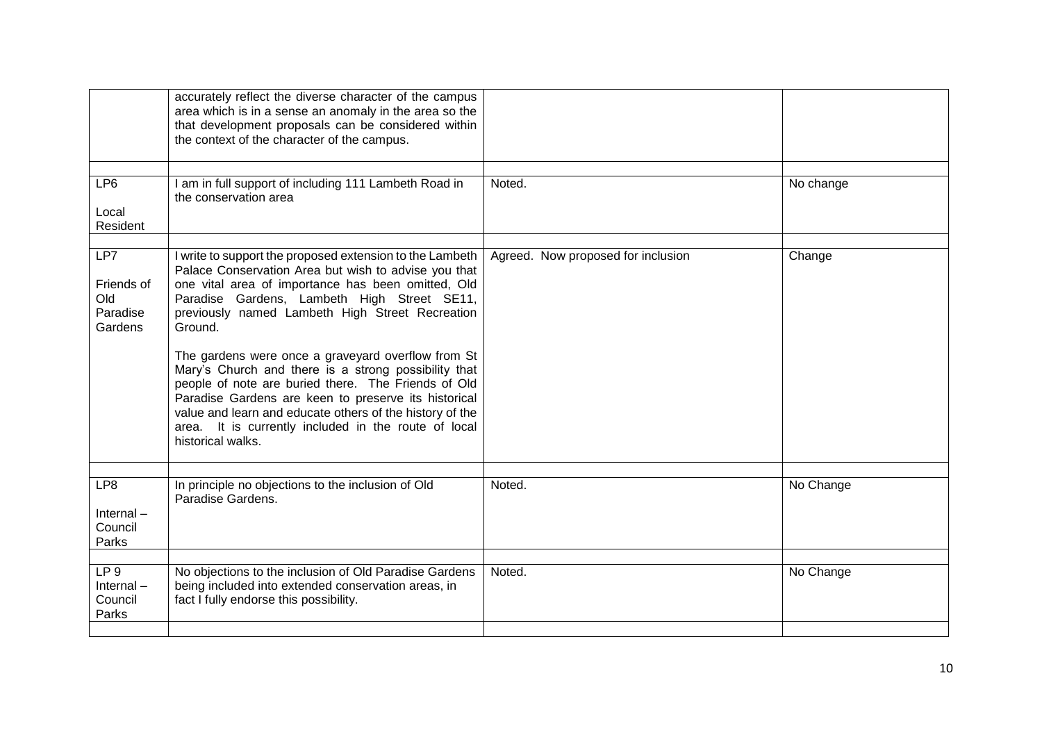|                                                     | accurately reflect the diverse character of the campus<br>area which is in a sense an anomaly in the area so the<br>that development proposals can be considered within<br>the context of the character of the campus.                                                                                                                                                                                                                                                                                           |                                    |           |
|-----------------------------------------------------|------------------------------------------------------------------------------------------------------------------------------------------------------------------------------------------------------------------------------------------------------------------------------------------------------------------------------------------------------------------------------------------------------------------------------------------------------------------------------------------------------------------|------------------------------------|-----------|
| LP <sub>6</sub><br>Local<br>Resident                | I am in full support of including 111 Lambeth Road in<br>the conservation area                                                                                                                                                                                                                                                                                                                                                                                                                                   | Noted.                             | No change |
| LP7<br>Friends of<br>Old<br>Paradise<br>Gardens     | I write to support the proposed extension to the Lambeth<br>Palace Conservation Area but wish to advise you that<br>one vital area of importance has been omitted, Old<br>Paradise Gardens, Lambeth High Street SE11,<br>previously named Lambeth High Street Recreation<br>Ground.<br>The gardens were once a graveyard overflow from St<br>Mary's Church and there is a strong possibility that<br>people of note are buried there. The Friends of Old<br>Paradise Gardens are keen to preserve its historical | Agreed. Now proposed for inclusion | Change    |
|                                                     | value and learn and educate others of the history of the<br>area. It is currently included in the route of local<br>historical walks.                                                                                                                                                                                                                                                                                                                                                                            |                                    |           |
| LP8<br>$Internal -$<br>Council<br>Parks             | In principle no objections to the inclusion of Old<br>Paradise Gardens.                                                                                                                                                                                                                                                                                                                                                                                                                                          | Noted.                             | No Change |
| LP <sub>9</sub><br>Internal $-$<br>Council<br>Parks | No objections to the inclusion of Old Paradise Gardens<br>being included into extended conservation areas, in<br>fact I fully endorse this possibility.                                                                                                                                                                                                                                                                                                                                                          | Noted.                             | No Change |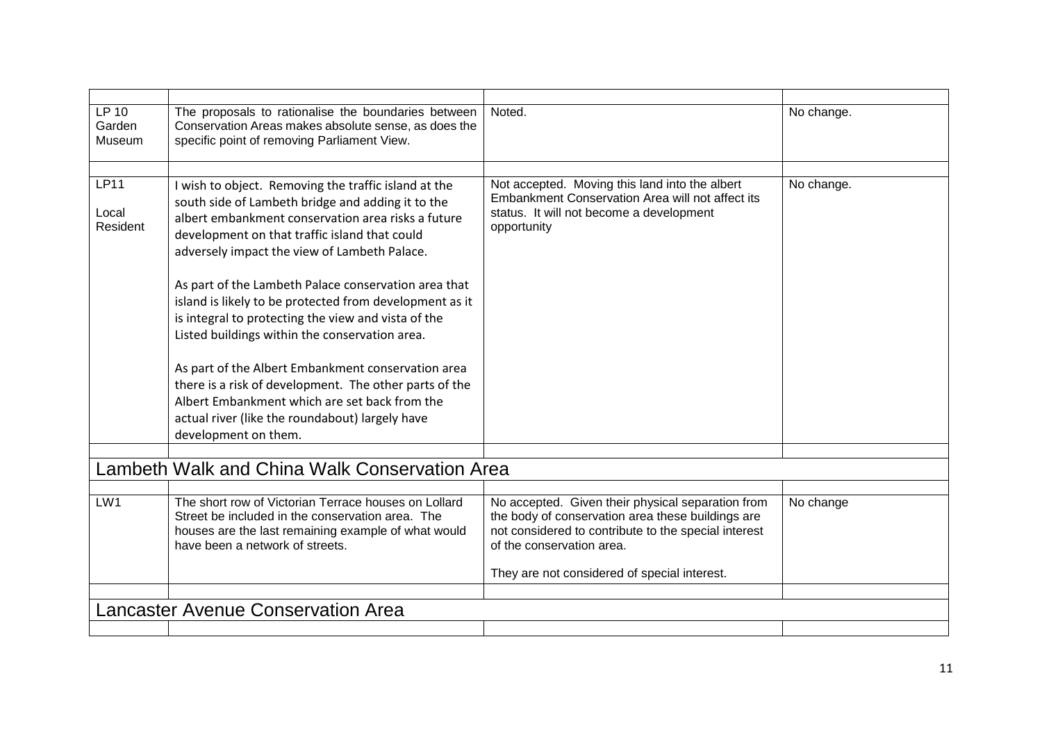| <b>LP 10</b><br>Garden<br>Museum | The proposals to rationalise the boundaries between<br>Conservation Areas makes absolute sense, as does the<br>specific point of removing Parliament View.                                                                                                       | Noted.                                                                                                                                                                                      | No change. |
|----------------------------------|------------------------------------------------------------------------------------------------------------------------------------------------------------------------------------------------------------------------------------------------------------------|---------------------------------------------------------------------------------------------------------------------------------------------------------------------------------------------|------------|
|                                  |                                                                                                                                                                                                                                                                  |                                                                                                                                                                                             |            |
| <b>LP11</b><br>Local<br>Resident | I wish to object. Removing the traffic island at the<br>south side of Lambeth bridge and adding it to the<br>albert embankment conservation area risks a future<br>development on that traffic island that could<br>adversely impact the view of Lambeth Palace. | Not accepted. Moving this land into the albert<br>Embankment Conservation Area will not affect its<br>status. It will not become a development<br>opportunity                               | No change. |
|                                  | As part of the Lambeth Palace conservation area that<br>island is likely to be protected from development as it<br>is integral to protecting the view and vista of the<br>Listed buildings within the conservation area.                                         |                                                                                                                                                                                             |            |
|                                  | As part of the Albert Embankment conservation area<br>there is a risk of development. The other parts of the<br>Albert Embankment which are set back from the<br>actual river (like the roundabout) largely have<br>development on them.                         |                                                                                                                                                                                             |            |
|                                  |                                                                                                                                                                                                                                                                  |                                                                                                                                                                                             |            |
|                                  | Lambeth Walk and China Walk Conservation Area                                                                                                                                                                                                                    |                                                                                                                                                                                             |            |
|                                  |                                                                                                                                                                                                                                                                  |                                                                                                                                                                                             |            |
| LW1                              | The short row of Victorian Terrace houses on Lollard<br>Street be included in the conservation area. The<br>houses are the last remaining example of what would<br>have been a network of streets.                                                               | No accepted. Given their physical separation from<br>the body of conservation area these buildings are<br>not considered to contribute to the special interest<br>of the conservation area. | No change  |
|                                  |                                                                                                                                                                                                                                                                  | They are not considered of special interest.                                                                                                                                                |            |
|                                  |                                                                                                                                                                                                                                                                  |                                                                                                                                                                                             |            |
|                                  | <b>Lancaster Avenue Conservation Area</b>                                                                                                                                                                                                                        |                                                                                                                                                                                             |            |
|                                  |                                                                                                                                                                                                                                                                  |                                                                                                                                                                                             |            |
|                                  |                                                                                                                                                                                                                                                                  |                                                                                                                                                                                             |            |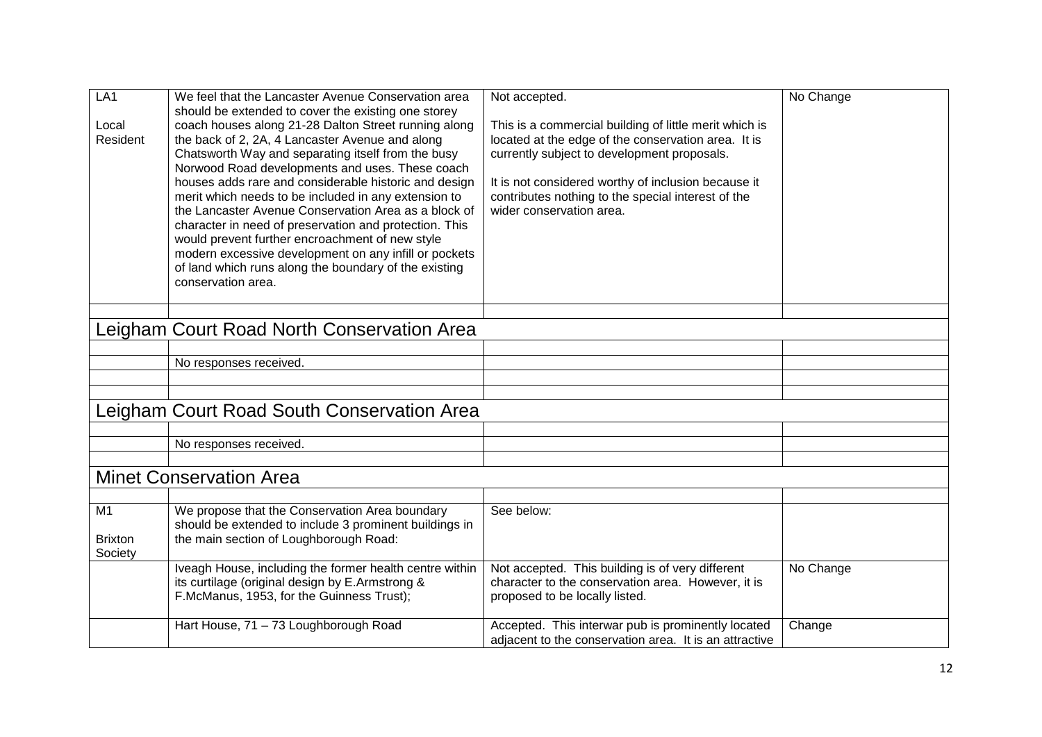| LA <sub>1</sub><br>Local | We feel that the Lancaster Avenue Conservation area<br>should be extended to cover the existing one storey<br>coach houses along 21-28 Dalton Street running along | Not accepted.                                                                                                 | No Change |
|--------------------------|--------------------------------------------------------------------------------------------------------------------------------------------------------------------|---------------------------------------------------------------------------------------------------------------|-----------|
| Resident                 | the back of 2, 2A, 4 Lancaster Avenue and along                                                                                                                    | This is a commercial building of little merit which is<br>located at the edge of the conservation area. It is |           |
|                          | Chatsworth Way and separating itself from the busy                                                                                                                 | currently subject to development proposals.                                                                   |           |
|                          | Norwood Road developments and uses. These coach                                                                                                                    |                                                                                                               |           |
|                          | houses adds rare and considerable historic and design<br>merit which needs to be included in any extension to                                                      | It is not considered worthy of inclusion because it<br>contributes nothing to the special interest of the     |           |
|                          | the Lancaster Avenue Conservation Area as a block of                                                                                                               | wider conservation area.                                                                                      |           |
|                          | character in need of preservation and protection. This                                                                                                             |                                                                                                               |           |
|                          | would prevent further encroachment of new style                                                                                                                    |                                                                                                               |           |
|                          | modern excessive development on any infill or pockets<br>of land which runs along the boundary of the existing                                                     |                                                                                                               |           |
|                          | conservation area.                                                                                                                                                 |                                                                                                               |           |
|                          |                                                                                                                                                                    |                                                                                                               |           |
|                          |                                                                                                                                                                    |                                                                                                               |           |
|                          | Leigham Court Road North Conservation Area                                                                                                                         |                                                                                                               |           |
|                          |                                                                                                                                                                    |                                                                                                               |           |
|                          | No responses received.                                                                                                                                             |                                                                                                               |           |
|                          |                                                                                                                                                                    |                                                                                                               |           |
|                          | Leigham Court Road South Conservation Area                                                                                                                         |                                                                                                               |           |
|                          |                                                                                                                                                                    |                                                                                                               |           |
|                          | No responses received.                                                                                                                                             |                                                                                                               |           |
|                          | <b>Minet Conservation Area</b>                                                                                                                                     |                                                                                                               |           |
|                          |                                                                                                                                                                    |                                                                                                               |           |
| M1                       | We propose that the Conservation Area boundary                                                                                                                     | See below:                                                                                                    |           |
|                          | should be extended to include 3 prominent buildings in                                                                                                             |                                                                                                               |           |
| <b>Brixton</b>           | the main section of Loughborough Road:                                                                                                                             |                                                                                                               |           |
| Society                  |                                                                                                                                                                    |                                                                                                               |           |
|                          | Iveagh House, including the former health centre within<br>its curtilage (original design by E.Armstrong &                                                         | Not accepted. This building is of very different<br>character to the conservation area. However, it is        | No Change |
|                          | F.McManus, 1953, for the Guinness Trust);                                                                                                                          | proposed to be locally listed.                                                                                |           |
|                          | Hart House, 71 - 73 Loughborough Road                                                                                                                              | Accepted. This interwar pub is prominently located<br>adjacent to the conservation area. It is an attractive  | Change    |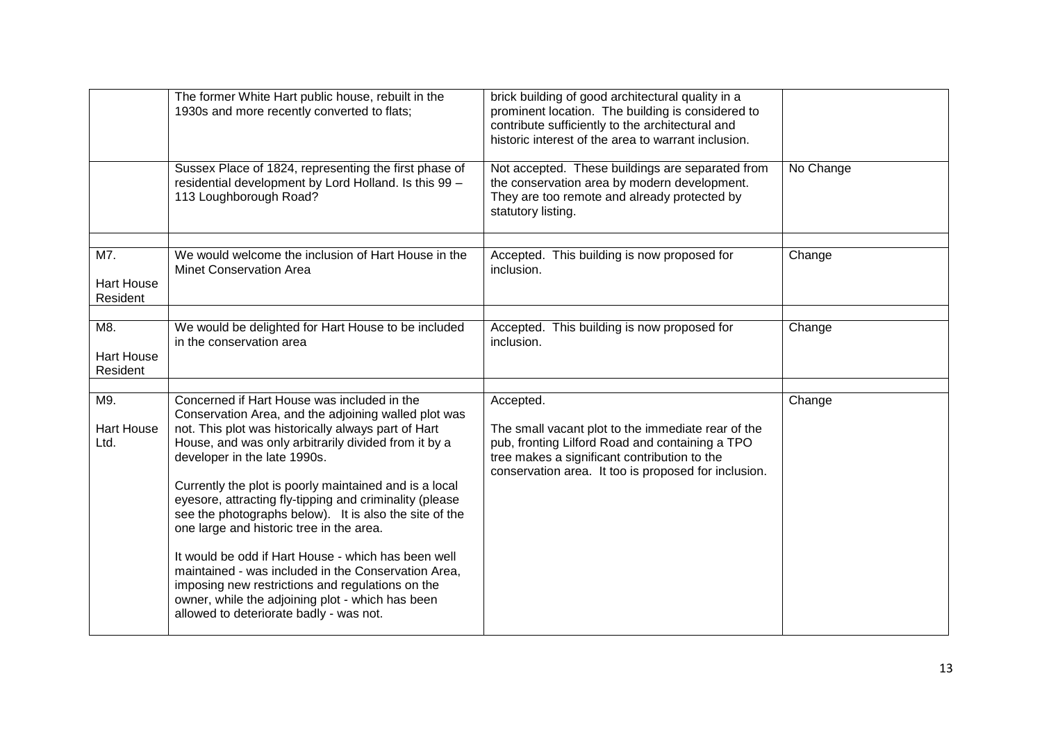|                                      | The former White Hart public house, rebuilt in the<br>1930s and more recently converted to flats;                                                                                                                                                                                                                                                                                                                                                                                                                                                                                                                                                                                                                                              | brick building of good architectural quality in a<br>prominent location. The building is considered to<br>contribute sufficiently to the architectural and<br>historic interest of the area to warrant inclusion.          |           |
|--------------------------------------|------------------------------------------------------------------------------------------------------------------------------------------------------------------------------------------------------------------------------------------------------------------------------------------------------------------------------------------------------------------------------------------------------------------------------------------------------------------------------------------------------------------------------------------------------------------------------------------------------------------------------------------------------------------------------------------------------------------------------------------------|----------------------------------------------------------------------------------------------------------------------------------------------------------------------------------------------------------------------------|-----------|
|                                      | Sussex Place of 1824, representing the first phase of<br>residential development by Lord Holland. Is this 99 -<br>113 Loughborough Road?                                                                                                                                                                                                                                                                                                                                                                                                                                                                                                                                                                                                       | Not accepted. These buildings are separated from<br>the conservation area by modern development.<br>They are too remote and already protected by<br>statutory listing.                                                     | No Change |
| M7.<br><b>Hart House</b><br>Resident | We would welcome the inclusion of Hart House in the<br><b>Minet Conservation Area</b>                                                                                                                                                                                                                                                                                                                                                                                                                                                                                                                                                                                                                                                          | Accepted. This building is now proposed for<br>inclusion.                                                                                                                                                                  | Change    |
| M8.<br><b>Hart House</b><br>Resident | We would be delighted for Hart House to be included<br>in the conservation area                                                                                                                                                                                                                                                                                                                                                                                                                                                                                                                                                                                                                                                                | Accepted. This building is now proposed for<br>inclusion.                                                                                                                                                                  | Change    |
| M9.<br><b>Hart House</b><br>Ltd.     | Concerned if Hart House was included in the<br>Conservation Area, and the adjoining walled plot was<br>not. This plot was historically always part of Hart<br>House, and was only arbitrarily divided from it by a<br>developer in the late 1990s.<br>Currently the plot is poorly maintained and is a local<br>eyesore, attracting fly-tipping and criminality (please<br>see the photographs below). It is also the site of the<br>one large and historic tree in the area.<br>It would be odd if Hart House - which has been well<br>maintained - was included in the Conservation Area,<br>imposing new restrictions and regulations on the<br>owner, while the adjoining plot - which has been<br>allowed to deteriorate badly - was not. | Accepted.<br>The small vacant plot to the immediate rear of the<br>pub, fronting Lilford Road and containing a TPO<br>tree makes a significant contribution to the<br>conservation area. It too is proposed for inclusion. | Change    |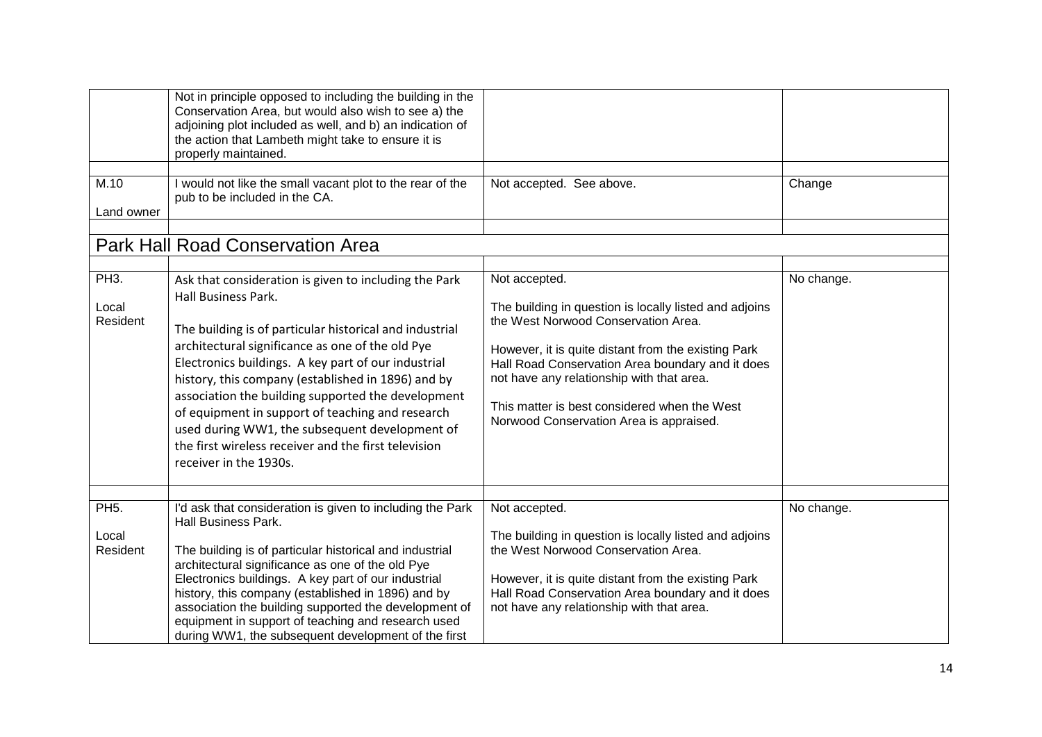| M.10<br>Land owner                     | Not in principle opposed to including the building in the<br>Conservation Area, but would also wish to see a) the<br>adjoining plot included as well, and b) an indication of<br>the action that Lambeth might take to ensure it is<br>properly maintained.<br>I would not like the small vacant plot to the rear of the<br>pub to be included in the CA.                                                                                                                                                                                              | Not accepted. See above.                                                                                                                                                                                                                                                                                                                                          | Change     |
|----------------------------------------|--------------------------------------------------------------------------------------------------------------------------------------------------------------------------------------------------------------------------------------------------------------------------------------------------------------------------------------------------------------------------------------------------------------------------------------------------------------------------------------------------------------------------------------------------------|-------------------------------------------------------------------------------------------------------------------------------------------------------------------------------------------------------------------------------------------------------------------------------------------------------------------------------------------------------------------|------------|
|                                        | <b>Park Hall Road Conservation Area</b>                                                                                                                                                                                                                                                                                                                                                                                                                                                                                                                |                                                                                                                                                                                                                                                                                                                                                                   |            |
|                                        |                                                                                                                                                                                                                                                                                                                                                                                                                                                                                                                                                        |                                                                                                                                                                                                                                                                                                                                                                   |            |
| <b>PH3.</b><br>Local<br>Resident       | Ask that consideration is given to including the Park<br>Hall Business Park.<br>The building is of particular historical and industrial<br>architectural significance as one of the old Pye<br>Electronics buildings. A key part of our industrial<br>history, this company (established in 1896) and by<br>association the building supported the development<br>of equipment in support of teaching and research<br>used during WW1, the subsequent development of<br>the first wireless receiver and the first television<br>receiver in the 1930s. | Not accepted.<br>The building in question is locally listed and adjoins<br>the West Norwood Conservation Area.<br>However, it is quite distant from the existing Park<br>Hall Road Conservation Area boundary and it does<br>not have any relationship with that area.<br>This matter is best considered when the West<br>Norwood Conservation Area is appraised. | No change. |
| PH <sub>5</sub> .<br>Local<br>Resident | I'd ask that consideration is given to including the Park<br>Hall Business Park.<br>The building is of particular historical and industrial<br>architectural significance as one of the old Pye<br>Electronics buildings. A key part of our industrial<br>history, this company (established in 1896) and by<br>association the building supported the development of<br>equipment in support of teaching and research used<br>during WW1, the subsequent development of the first                                                                     | Not accepted.<br>The building in question is locally listed and adjoins<br>the West Norwood Conservation Area.<br>However, it is quite distant from the existing Park<br>Hall Road Conservation Area boundary and it does<br>not have any relationship with that area.                                                                                            | No change. |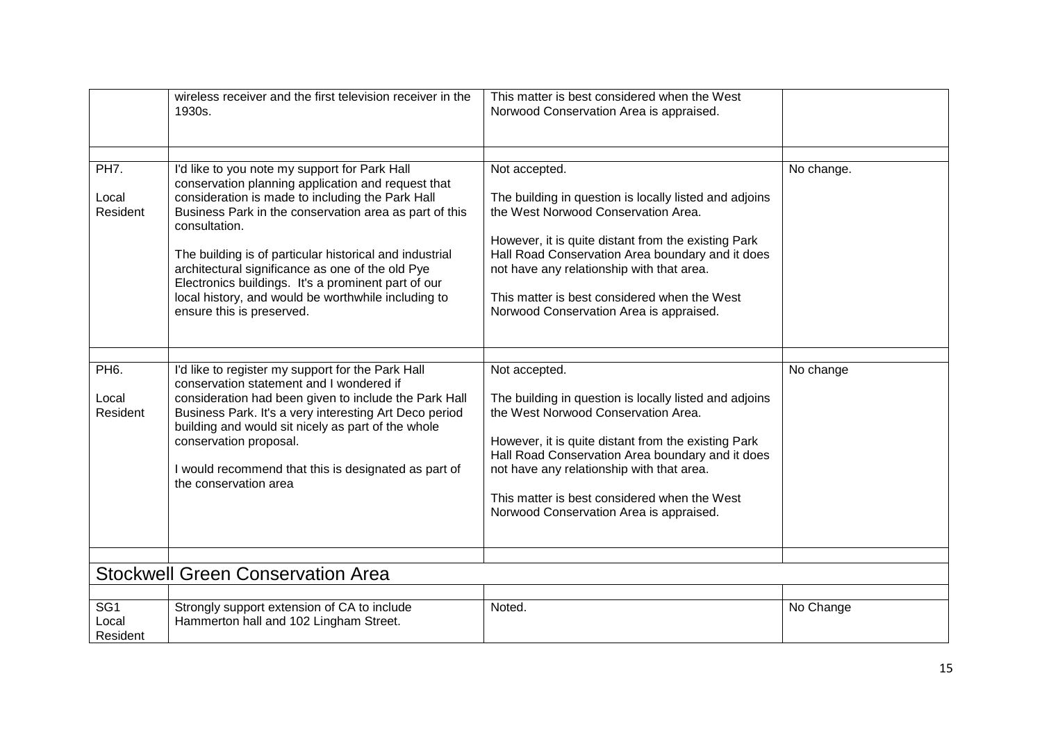|                                        | wireless receiver and the first television receiver in the<br>1930s.                                                                                                                                                                                                                                                                                                                                                                                                                         | This matter is best considered when the West<br>Norwood Conservation Area is appraised.                                                                                                                                                                                                                                                                           |            |
|----------------------------------------|----------------------------------------------------------------------------------------------------------------------------------------------------------------------------------------------------------------------------------------------------------------------------------------------------------------------------------------------------------------------------------------------------------------------------------------------------------------------------------------------|-------------------------------------------------------------------------------------------------------------------------------------------------------------------------------------------------------------------------------------------------------------------------------------------------------------------------------------------------------------------|------------|
|                                        |                                                                                                                                                                                                                                                                                                                                                                                                                                                                                              |                                                                                                                                                                                                                                                                                                                                                                   |            |
| PH7.<br>Local<br>Resident              | I'd like to you note my support for Park Hall<br>conservation planning application and request that<br>consideration is made to including the Park Hall<br>Business Park in the conservation area as part of this<br>consultation.<br>The building is of particular historical and industrial<br>architectural significance as one of the old Pye<br>Electronics buildings. It's a prominent part of our<br>local history, and would be worthwhile including to<br>ensure this is preserved. | Not accepted.<br>The building in question is locally listed and adjoins<br>the West Norwood Conservation Area.<br>However, it is quite distant from the existing Park<br>Hall Road Conservation Area boundary and it does<br>not have any relationship with that area.<br>This matter is best considered when the West<br>Norwood Conservation Area is appraised. | No change. |
|                                        |                                                                                                                                                                                                                                                                                                                                                                                                                                                                                              |                                                                                                                                                                                                                                                                                                                                                                   |            |
| PH <sub>6</sub> .<br>Local<br>Resident | I'd like to register my support for the Park Hall<br>conservation statement and I wondered if<br>consideration had been given to include the Park Hall<br>Business Park. It's a very interesting Art Deco period<br>building and would sit nicely as part of the whole<br>conservation proposal.<br>I would recommend that this is designated as part of<br>the conservation area                                                                                                            | Not accepted.<br>The building in question is locally listed and adjoins<br>the West Norwood Conservation Area.<br>However, it is quite distant from the existing Park<br>Hall Road Conservation Area boundary and it does<br>not have any relationship with that area.<br>This matter is best considered when the West<br>Norwood Conservation Area is appraised. | No change  |
|                                        |                                                                                                                                                                                                                                                                                                                                                                                                                                                                                              |                                                                                                                                                                                                                                                                                                                                                                   |            |
|                                        | <b>Stockwell Green Conservation Area</b>                                                                                                                                                                                                                                                                                                                                                                                                                                                     |                                                                                                                                                                                                                                                                                                                                                                   |            |
|                                        |                                                                                                                                                                                                                                                                                                                                                                                                                                                                                              |                                                                                                                                                                                                                                                                                                                                                                   |            |
| SG <sub>1</sub><br>Local<br>Resident   | Strongly support extension of CA to include<br>Hammerton hall and 102 Lingham Street.                                                                                                                                                                                                                                                                                                                                                                                                        | Noted.                                                                                                                                                                                                                                                                                                                                                            | No Change  |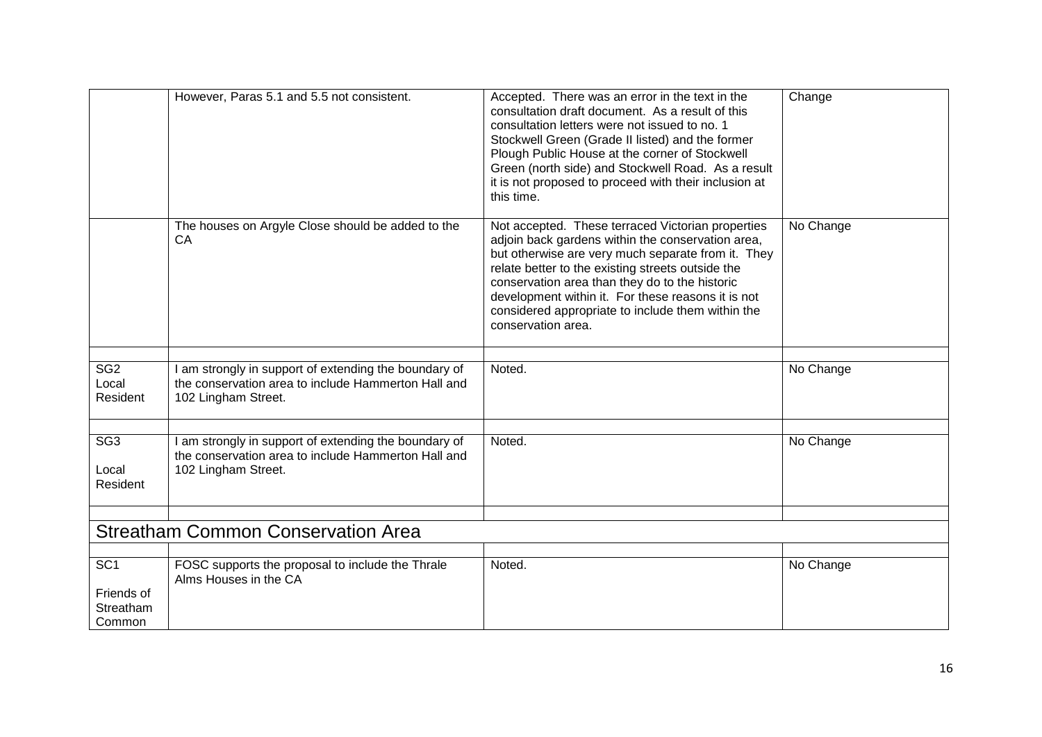|                                                      | However, Paras 5.1 and 5.5 not consistent.                                                                                          | Accepted. There was an error in the text in the<br>consultation draft document. As a result of this<br>consultation letters were not issued to no. 1<br>Stockwell Green (Grade II listed) and the former<br>Plough Public House at the corner of Stockwell<br>Green (north side) and Stockwell Road. As a result<br>it is not proposed to proceed with their inclusion at<br>this time.              | Change    |
|------------------------------------------------------|-------------------------------------------------------------------------------------------------------------------------------------|------------------------------------------------------------------------------------------------------------------------------------------------------------------------------------------------------------------------------------------------------------------------------------------------------------------------------------------------------------------------------------------------------|-----------|
|                                                      | The houses on Argyle Close should be added to the<br>CA                                                                             | Not accepted. These terraced Victorian properties<br>adjoin back gardens within the conservation area,<br>but otherwise are very much separate from it. They<br>relate better to the existing streets outside the<br>conservation area than they do to the historic<br>development within it. For these reasons it is not<br>considered appropriate to include them within the<br>conservation area. | No Change |
|                                                      |                                                                                                                                     |                                                                                                                                                                                                                                                                                                                                                                                                      |           |
| SG <sub>2</sub><br>Local<br>Resident                 | I am strongly in support of extending the boundary of<br>the conservation area to include Hammerton Hall and<br>102 Lingham Street. | Noted.                                                                                                                                                                                                                                                                                                                                                                                               | No Change |
|                                                      |                                                                                                                                     |                                                                                                                                                                                                                                                                                                                                                                                                      |           |
| SG3<br>Local<br>Resident                             | I am strongly in support of extending the boundary of<br>the conservation area to include Hammerton Hall and<br>102 Lingham Street. | Noted.                                                                                                                                                                                                                                                                                                                                                                                               | No Change |
|                                                      |                                                                                                                                     |                                                                                                                                                                                                                                                                                                                                                                                                      |           |
|                                                      | <b>Streatham Common Conservation Area</b>                                                                                           |                                                                                                                                                                                                                                                                                                                                                                                                      |           |
|                                                      |                                                                                                                                     |                                                                                                                                                                                                                                                                                                                                                                                                      |           |
| SC <sub>1</sub><br>Friends of<br>Streatham<br>Common | FOSC supports the proposal to include the Thrale<br>Alms Houses in the CA                                                           | Noted.                                                                                                                                                                                                                                                                                                                                                                                               | No Change |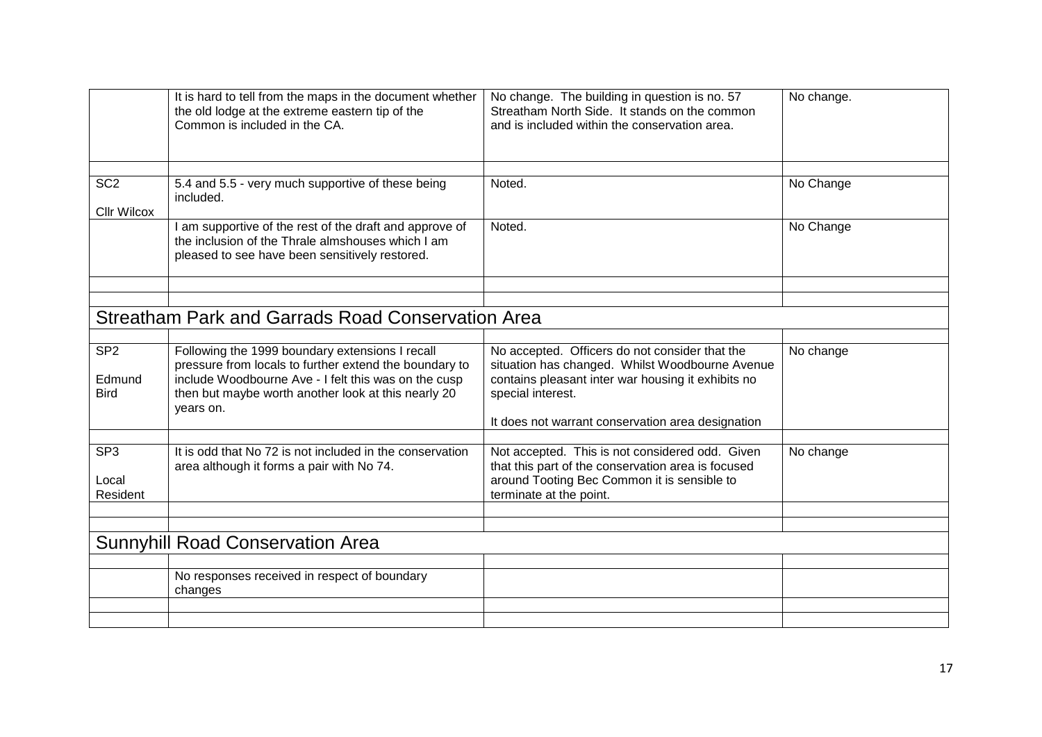|                                       | It is hard to tell from the maps in the document whether<br>the old lodge at the extreme eastern tip of the<br>Common is included in the CA.                                                                                          | No change. The building in question is no. 57<br>Streatham North Side. It stands on the common<br>and is included within the conservation area.                                                                                   | No change. |
|---------------------------------------|---------------------------------------------------------------------------------------------------------------------------------------------------------------------------------------------------------------------------------------|-----------------------------------------------------------------------------------------------------------------------------------------------------------------------------------------------------------------------------------|------------|
|                                       |                                                                                                                                                                                                                                       |                                                                                                                                                                                                                                   |            |
| SC <sub>2</sub><br><b>CIIr Wilcox</b> | 5.4 and 5.5 - very much supportive of these being<br>included.                                                                                                                                                                        | Noted.                                                                                                                                                                                                                            | No Change  |
|                                       | I am supportive of the rest of the draft and approve of<br>the inclusion of the Thrale almshouses which I am<br>pleased to see have been sensitively restored.                                                                        | Noted.                                                                                                                                                                                                                            | No Change  |
|                                       |                                                                                                                                                                                                                                       |                                                                                                                                                                                                                                   |            |
|                                       |                                                                                                                                                                                                                                       |                                                                                                                                                                                                                                   |            |
|                                       | Streatham Park and Garrads Road Conservation Area                                                                                                                                                                                     |                                                                                                                                                                                                                                   |            |
| SP <sub>2</sub>                       |                                                                                                                                                                                                                                       |                                                                                                                                                                                                                                   |            |
| Edmund<br><b>Bird</b>                 | Following the 1999 boundary extensions I recall<br>pressure from locals to further extend the boundary to<br>include Woodbourne Ave - I felt this was on the cusp<br>then but maybe worth another look at this nearly 20<br>years on. | No accepted. Officers do not consider that the<br>situation has changed. Whilst Woodbourne Avenue<br>contains pleasant inter war housing it exhibits no<br>special interest.<br>It does not warrant conservation area designation | No change  |
|                                       |                                                                                                                                                                                                                                       |                                                                                                                                                                                                                                   |            |
| SP <sub>3</sub><br>Local<br>Resident  | It is odd that No 72 is not included in the conservation<br>area although it forms a pair with No 74.                                                                                                                                 | Not accepted. This is not considered odd. Given<br>that this part of the conservation area is focused<br>around Tooting Bec Common it is sensible to<br>terminate at the point.                                                   | No change  |
|                                       |                                                                                                                                                                                                                                       |                                                                                                                                                                                                                                   |            |
|                                       |                                                                                                                                                                                                                                       |                                                                                                                                                                                                                                   |            |
|                                       | <b>Sunnyhill Road Conservation Area</b>                                                                                                                                                                                               |                                                                                                                                                                                                                                   |            |
|                                       | No responses received in respect of boundary                                                                                                                                                                                          |                                                                                                                                                                                                                                   |            |
|                                       | changes                                                                                                                                                                                                                               |                                                                                                                                                                                                                                   |            |
|                                       |                                                                                                                                                                                                                                       |                                                                                                                                                                                                                                   |            |
|                                       |                                                                                                                                                                                                                                       |                                                                                                                                                                                                                                   |            |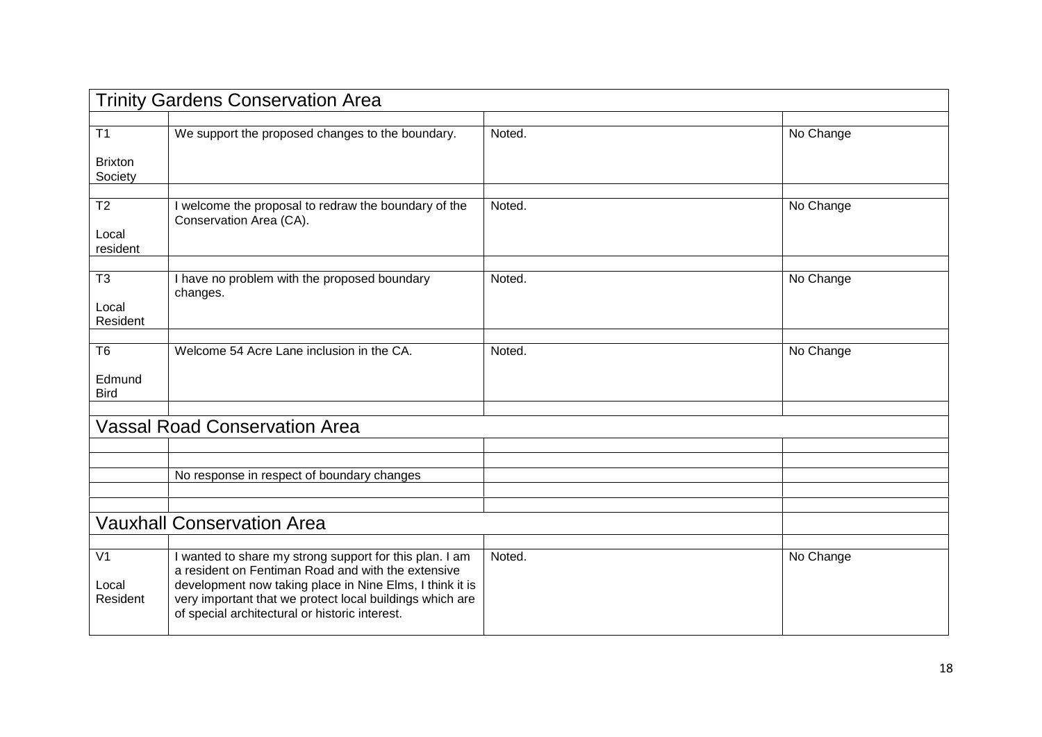| <b>Trinity Gardens Conservation Area</b> |                                                                                                                                                                                                                                                                                         |        |           |
|------------------------------------------|-----------------------------------------------------------------------------------------------------------------------------------------------------------------------------------------------------------------------------------------------------------------------------------------|--------|-----------|
|                                          |                                                                                                                                                                                                                                                                                         |        |           |
| T1                                       | We support the proposed changes to the boundary.                                                                                                                                                                                                                                        | Noted. | No Change |
| <b>Brixton</b><br>Society                |                                                                                                                                                                                                                                                                                         |        |           |
|                                          |                                                                                                                                                                                                                                                                                         |        |           |
| T <sub>2</sub><br>Local<br>resident      | I welcome the proposal to redraw the boundary of the<br>Conservation Area (CA).                                                                                                                                                                                                         | Noted. | No Change |
|                                          |                                                                                                                                                                                                                                                                                         |        |           |
| T <sub>3</sub><br>Local<br>Resident      | I have no problem with the proposed boundary<br>changes.                                                                                                                                                                                                                                | Noted. | No Change |
|                                          |                                                                                                                                                                                                                                                                                         |        |           |
| T6                                       | Welcome 54 Acre Lane inclusion in the CA.                                                                                                                                                                                                                                               | Noted. | No Change |
| Edmund<br><b>Bird</b>                    |                                                                                                                                                                                                                                                                                         |        |           |
|                                          |                                                                                                                                                                                                                                                                                         |        |           |
|                                          | <b>Vassal Road Conservation Area</b>                                                                                                                                                                                                                                                    |        |           |
|                                          |                                                                                                                                                                                                                                                                                         |        |           |
|                                          |                                                                                                                                                                                                                                                                                         |        |           |
|                                          | No response in respect of boundary changes                                                                                                                                                                                                                                              |        |           |
|                                          |                                                                                                                                                                                                                                                                                         |        |           |
|                                          |                                                                                                                                                                                                                                                                                         |        |           |
|                                          | <b>Vauxhall Conservation Area</b>                                                                                                                                                                                                                                                       |        |           |
|                                          |                                                                                                                                                                                                                                                                                         |        |           |
| V <sub>1</sub><br>Local<br>Resident      | I wanted to share my strong support for this plan. I am<br>a resident on Fentiman Road and with the extensive<br>development now taking place in Nine Elms, I think it is<br>very important that we protect local buildings which are<br>of special architectural or historic interest. | Noted. | No Change |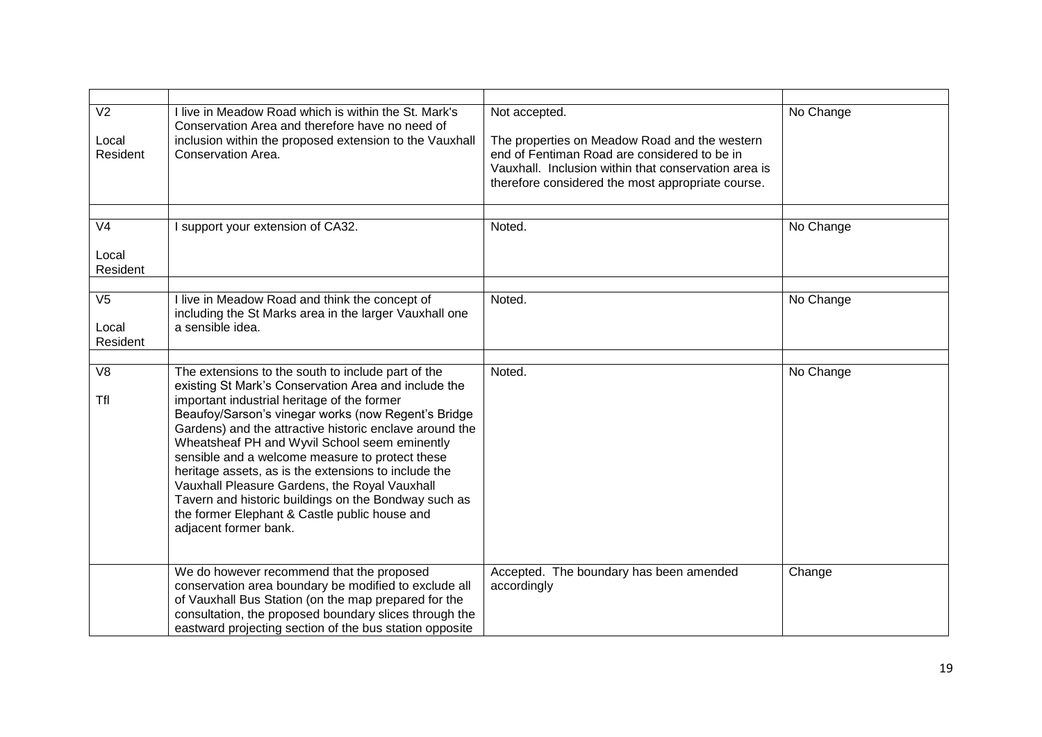| V <sub>2</sub><br>Local<br>Resident    | I live in Meadow Road which is within the St. Mark's<br>Conservation Area and therefore have no need of<br>inclusion within the proposed extension to the Vauxhall<br>Conservation Area.                                                                                                                                                                                                                                                                                                                                                                                                                                   | Not accepted.<br>The properties on Meadow Road and the western<br>end of Fentiman Road are considered to be in<br>Vauxhall. Inclusion within that conservation area is<br>therefore considered the most appropriate course. | No Change |
|----------------------------------------|----------------------------------------------------------------------------------------------------------------------------------------------------------------------------------------------------------------------------------------------------------------------------------------------------------------------------------------------------------------------------------------------------------------------------------------------------------------------------------------------------------------------------------------------------------------------------------------------------------------------------|-----------------------------------------------------------------------------------------------------------------------------------------------------------------------------------------------------------------------------|-----------|
|                                        |                                                                                                                                                                                                                                                                                                                                                                                                                                                                                                                                                                                                                            |                                                                                                                                                                                                                             |           |
| V <sub>4</sub>                         | I support your extension of CA32.                                                                                                                                                                                                                                                                                                                                                                                                                                                                                                                                                                                          | Noted.                                                                                                                                                                                                                      | No Change |
| Local<br>Resident                      |                                                                                                                                                                                                                                                                                                                                                                                                                                                                                                                                                                                                                            |                                                                                                                                                                                                                             |           |
| $\overline{\vee}$<br>Local<br>Resident | I live in Meadow Road and think the concept of<br>including the St Marks area in the larger Vauxhall one<br>a sensible idea.                                                                                                                                                                                                                                                                                                                                                                                                                                                                                               | Noted.                                                                                                                                                                                                                      | No Change |
|                                        |                                                                                                                                                                                                                                                                                                                                                                                                                                                                                                                                                                                                                            |                                                                                                                                                                                                                             |           |
| $\overline{\vee}$<br><b>Tfl</b>        | The extensions to the south to include part of the<br>existing St Mark's Conservation Area and include the<br>important industrial heritage of the former<br>Beaufoy/Sarson's vinegar works (now Regent's Bridge<br>Gardens) and the attractive historic enclave around the<br>Wheatsheaf PH and Wyvil School seem eminently<br>sensible and a welcome measure to protect these<br>heritage assets, as is the extensions to include the<br>Vauxhall Pleasure Gardens, the Royal Vauxhall<br>Tavern and historic buildings on the Bondway such as<br>the former Elephant & Castle public house and<br>adjacent former bank. | Noted.                                                                                                                                                                                                                      | No Change |
|                                        | We do however recommend that the proposed<br>conservation area boundary be modified to exclude all<br>of Vauxhall Bus Station (on the map prepared for the<br>consultation, the proposed boundary slices through the<br>eastward projecting section of the bus station opposite                                                                                                                                                                                                                                                                                                                                            | Accepted. The boundary has been amended<br>accordingly                                                                                                                                                                      | Change    |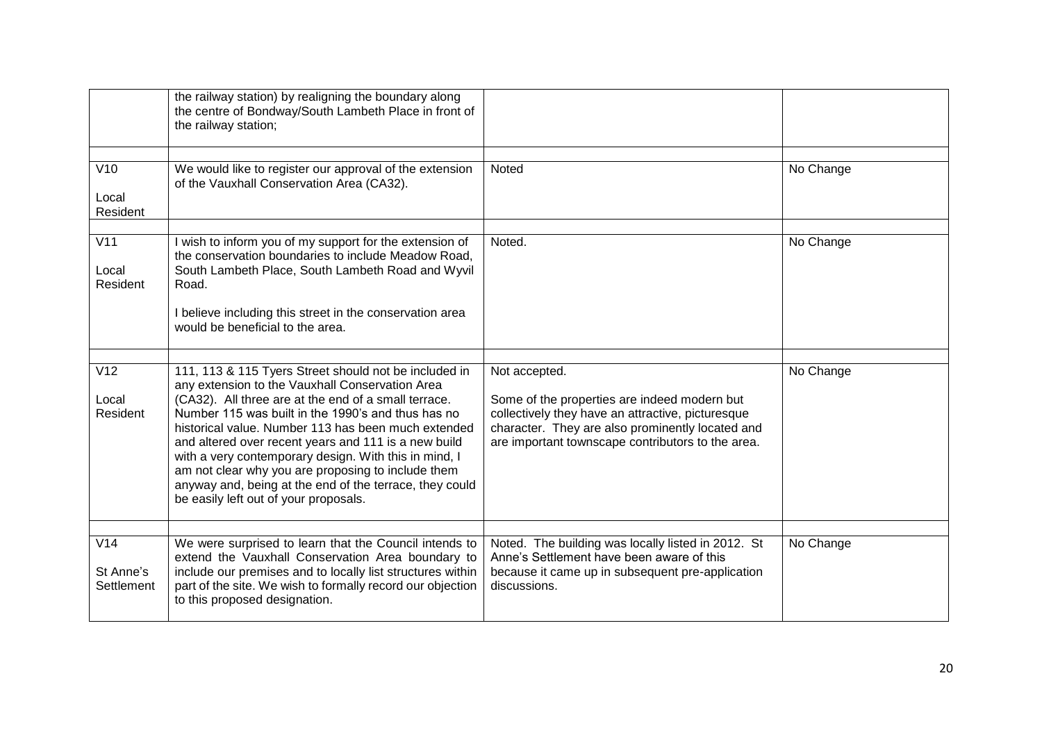|                                       | the railway station) by realigning the boundary along<br>the centre of Bondway/South Lambeth Place in front of<br>the railway station;                                                                                                                                                                                                                                                                                                                                                                                                                   |                                                                                                                                                                                                                             |           |
|---------------------------------------|----------------------------------------------------------------------------------------------------------------------------------------------------------------------------------------------------------------------------------------------------------------------------------------------------------------------------------------------------------------------------------------------------------------------------------------------------------------------------------------------------------------------------------------------------------|-----------------------------------------------------------------------------------------------------------------------------------------------------------------------------------------------------------------------------|-----------|
| V10<br>Local<br>Resident              | We would like to register our approval of the extension<br>of the Vauxhall Conservation Area (CA32).                                                                                                                                                                                                                                                                                                                                                                                                                                                     | Noted                                                                                                                                                                                                                       | No Change |
| $\overline{V11}$<br>Local<br>Resident | I wish to inform you of my support for the extension of<br>the conservation boundaries to include Meadow Road,<br>South Lambeth Place, South Lambeth Road and Wyvil<br>Road.<br>I believe including this street in the conservation area<br>would be beneficial to the area.                                                                                                                                                                                                                                                                             | Noted.                                                                                                                                                                                                                      | No Change |
| V12<br>Local<br>Resident              | 111, 113 & 115 Tyers Street should not be included in<br>any extension to the Vauxhall Conservation Area<br>(CA32). All three are at the end of a small terrace.<br>Number 115 was built in the 1990's and thus has no<br>historical value. Number 113 has been much extended<br>and altered over recent years and 111 is a new build<br>with a very contemporary design. With this in mind, I<br>am not clear why you are proposing to include them<br>anyway and, being at the end of the terrace, they could<br>be easily left out of your proposals. | Not accepted.<br>Some of the properties are indeed modern but<br>collectively they have an attractive, picturesque<br>character. They are also prominently located and<br>are important townscape contributors to the area. | No Change |
| V14<br>St Anne's<br>Settlement        | We were surprised to learn that the Council intends to<br>extend the Vauxhall Conservation Area boundary to<br>include our premises and to locally list structures within<br>part of the site. We wish to formally record our objection<br>to this proposed designation.                                                                                                                                                                                                                                                                                 | Noted. The building was locally listed in 2012. St<br>Anne's Settlement have been aware of this<br>because it came up in subsequent pre-application<br>discussions.                                                         | No Change |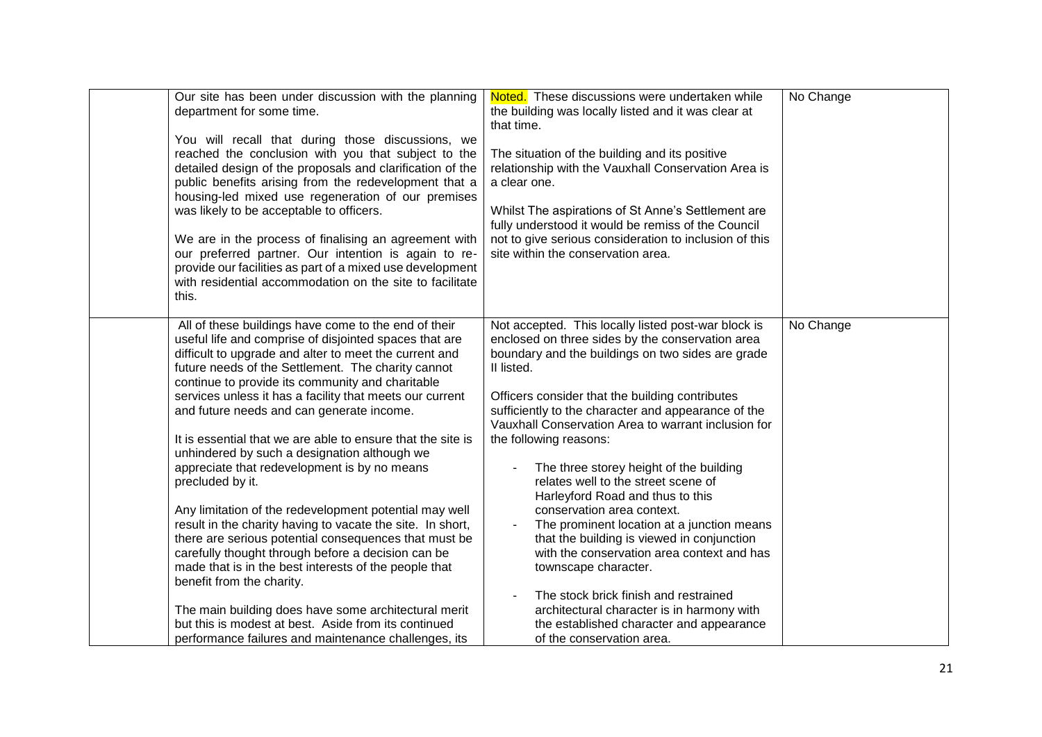| Our site has been under discussion with the planning<br>department for some time.<br>You will recall that during those discussions, we<br>reached the conclusion with you that subject to the<br>detailed design of the proposals and clarification of the<br>public benefits arising from the redevelopment that a<br>housing-led mixed use regeneration of our premises<br>was likely to be acceptable to officers.<br>We are in the process of finalising an agreement with<br>our preferred partner. Our intention is again to re-<br>provide our facilities as part of a mixed use development<br>with residential accommodation on the site to facilitate<br>this.                                                                                                                                                                                                                                                                                                                                                                                                            | Noted. These discussions were undertaken while<br>the building was locally listed and it was clear at<br>that time.<br>The situation of the building and its positive<br>relationship with the Vauxhall Conservation Area is<br>a clear one.<br>Whilst The aspirations of St Anne's Settlement are<br>fully understood it would be remiss of the Council<br>not to give serious consideration to inclusion of this<br>site within the conservation area.                                                                                                                                                                                                                                                                                                                                                                                                    | No Change |
|-------------------------------------------------------------------------------------------------------------------------------------------------------------------------------------------------------------------------------------------------------------------------------------------------------------------------------------------------------------------------------------------------------------------------------------------------------------------------------------------------------------------------------------------------------------------------------------------------------------------------------------------------------------------------------------------------------------------------------------------------------------------------------------------------------------------------------------------------------------------------------------------------------------------------------------------------------------------------------------------------------------------------------------------------------------------------------------|-------------------------------------------------------------------------------------------------------------------------------------------------------------------------------------------------------------------------------------------------------------------------------------------------------------------------------------------------------------------------------------------------------------------------------------------------------------------------------------------------------------------------------------------------------------------------------------------------------------------------------------------------------------------------------------------------------------------------------------------------------------------------------------------------------------------------------------------------------------|-----------|
| All of these buildings have come to the end of their<br>useful life and comprise of disjointed spaces that are<br>difficult to upgrade and alter to meet the current and<br>future needs of the Settlement. The charity cannot<br>continue to provide its community and charitable<br>services unless it has a facility that meets our current<br>and future needs and can generate income.<br>It is essential that we are able to ensure that the site is<br>unhindered by such a designation although we<br>appreciate that redevelopment is by no means<br>precluded by it.<br>Any limitation of the redevelopment potential may well<br>result in the charity having to vacate the site. In short,<br>there are serious potential consequences that must be<br>carefully thought through before a decision can be<br>made that is in the best interests of the people that<br>benefit from the charity.<br>The main building does have some architectural merit<br>but this is modest at best. Aside from its continued<br>performance failures and maintenance challenges, its | Not accepted. This locally listed post-war block is<br>enclosed on three sides by the conservation area<br>boundary and the buildings on two sides are grade<br>II listed.<br>Officers consider that the building contributes<br>sufficiently to the character and appearance of the<br>Vauxhall Conservation Area to warrant inclusion for<br>the following reasons:<br>The three storey height of the building<br>relates well to the street scene of<br>Harleyford Road and thus to this<br>conservation area context.<br>The prominent location at a junction means<br>that the building is viewed in conjunction<br>with the conservation area context and has<br>townscape character.<br>The stock brick finish and restrained<br>architectural character is in harmony with<br>the established character and appearance<br>of the conservation area. | No Change |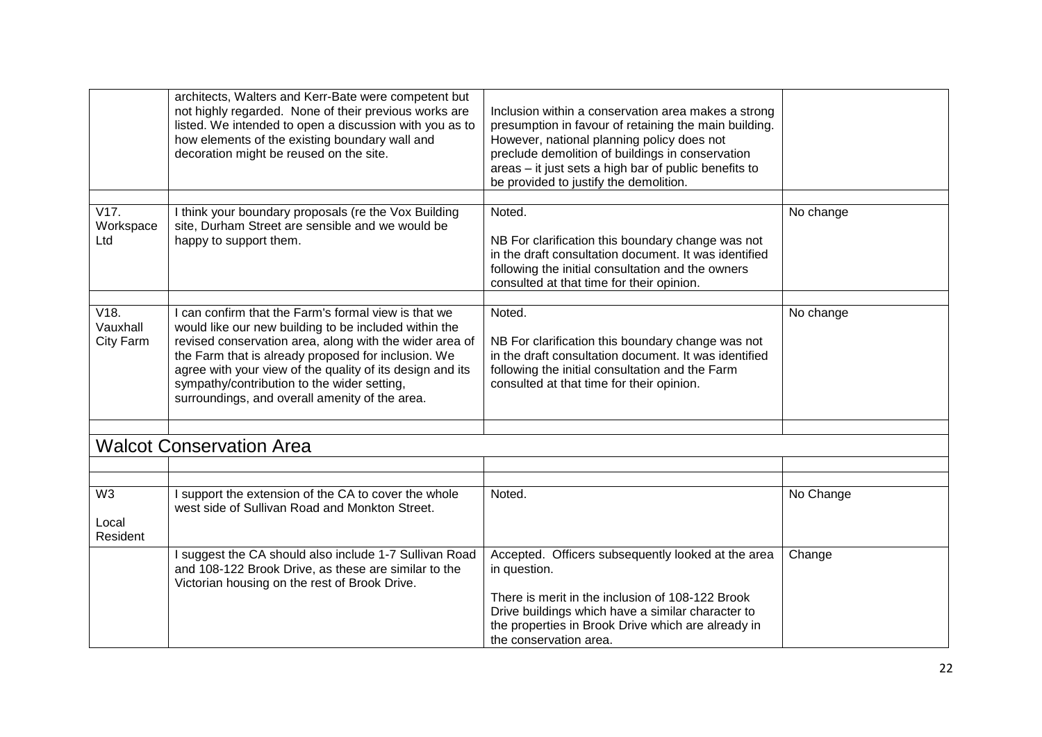|                                     | architects, Walters and Kerr-Bate were competent but<br>not highly regarded. None of their previous works are<br>listed. We intended to open a discussion with you as to<br>how elements of the existing boundary wall and<br>decoration might be reused on the site.                                                                                                                         | Inclusion within a conservation area makes a strong<br>presumption in favour of retaining the main building.<br>However, national planning policy does not<br>preclude demolition of buildings in conservation<br>areas - it just sets a high bar of public benefits to<br>be provided to justify the demolition. |           |
|-------------------------------------|-----------------------------------------------------------------------------------------------------------------------------------------------------------------------------------------------------------------------------------------------------------------------------------------------------------------------------------------------------------------------------------------------|-------------------------------------------------------------------------------------------------------------------------------------------------------------------------------------------------------------------------------------------------------------------------------------------------------------------|-----------|
| V17.<br>Workspace<br>Ltd            | I think your boundary proposals (re the Vox Building<br>site, Durham Street are sensible and we would be<br>happy to support them.                                                                                                                                                                                                                                                            | Noted.<br>NB For clarification this boundary change was not<br>in the draft consultation document. It was identified<br>following the initial consultation and the owners<br>consulted at that time for their opinion.                                                                                            | No change |
| V18.<br>Vauxhall<br>City Farm       | I can confirm that the Farm's formal view is that we<br>would like our new building to be included within the<br>revised conservation area, along with the wider area of<br>the Farm that is already proposed for inclusion. We<br>agree with your view of the quality of its design and its<br>sympathy/contribution to the wider setting,<br>surroundings, and overall amenity of the area. | Noted.<br>NB For clarification this boundary change was not<br>in the draft consultation document. It was identified<br>following the initial consultation and the Farm<br>consulted at that time for their opinion.                                                                                              | No change |
|                                     | <b>Walcot Conservation Area</b>                                                                                                                                                                                                                                                                                                                                                               |                                                                                                                                                                                                                                                                                                                   |           |
|                                     |                                                                                                                                                                                                                                                                                                                                                                                               |                                                                                                                                                                                                                                                                                                                   |           |
| W <sub>3</sub><br>Local<br>Resident | I support the extension of the CA to cover the whole<br>west side of Sullivan Road and Monkton Street.                                                                                                                                                                                                                                                                                        | Noted.                                                                                                                                                                                                                                                                                                            | No Change |
|                                     | I suggest the CA should also include 1-7 Sullivan Road<br>and 108-122 Brook Drive, as these are similar to the<br>Victorian housing on the rest of Brook Drive.                                                                                                                                                                                                                               | Accepted. Officers subsequently looked at the area<br>in question.<br>There is merit in the inclusion of 108-122 Brook<br>Drive buildings which have a similar character to<br>the properties in Brook Drive which are already in<br>the conservation area.                                                       | Change    |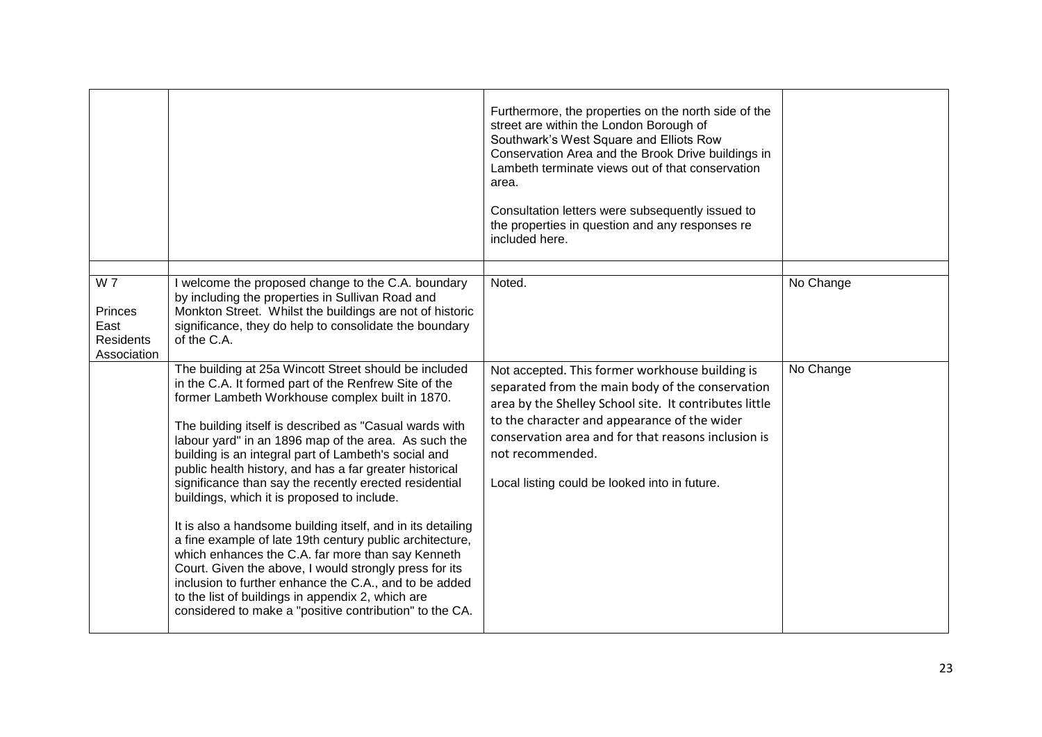|                                                           |                                                                                                                                                                                                                                                                                                                                                                                                                                                                                                                                                                                                                                                                                                                                                                                                                                                                                                                                     | Furthermore, the properties on the north side of the<br>street are within the London Borough of<br>Southwark's West Square and Elliots Row<br>Conservation Area and the Brook Drive buildings in<br>Lambeth terminate views out of that conservation<br>area.<br>Consultation letters were subsequently issued to<br>the properties in question and any responses re<br>included here. |           |
|-----------------------------------------------------------|-------------------------------------------------------------------------------------------------------------------------------------------------------------------------------------------------------------------------------------------------------------------------------------------------------------------------------------------------------------------------------------------------------------------------------------------------------------------------------------------------------------------------------------------------------------------------------------------------------------------------------------------------------------------------------------------------------------------------------------------------------------------------------------------------------------------------------------------------------------------------------------------------------------------------------------|----------------------------------------------------------------------------------------------------------------------------------------------------------------------------------------------------------------------------------------------------------------------------------------------------------------------------------------------------------------------------------------|-----------|
|                                                           |                                                                                                                                                                                                                                                                                                                                                                                                                                                                                                                                                                                                                                                                                                                                                                                                                                                                                                                                     |                                                                                                                                                                                                                                                                                                                                                                                        |           |
| W 7<br>Princes<br>East<br><b>Residents</b><br>Association | I welcome the proposed change to the C.A. boundary<br>by including the properties in Sullivan Road and<br>Monkton Street. Whilst the buildings are not of historic<br>significance, they do help to consolidate the boundary<br>of the C.A.                                                                                                                                                                                                                                                                                                                                                                                                                                                                                                                                                                                                                                                                                         | Noted.                                                                                                                                                                                                                                                                                                                                                                                 | No Change |
|                                                           | The building at 25a Wincott Street should be included<br>in the C.A. It formed part of the Renfrew Site of the<br>former Lambeth Workhouse complex built in 1870.<br>The building itself is described as "Casual wards with<br>labour yard" in an 1896 map of the area. As such the<br>building is an integral part of Lambeth's social and<br>public health history, and has a far greater historical<br>significance than say the recently erected residential<br>buildings, which it is proposed to include.<br>It is also a handsome building itself, and in its detailing<br>a fine example of late 19th century public architecture,<br>which enhances the C.A. far more than say Kenneth<br>Court. Given the above, I would strongly press for its<br>inclusion to further enhance the C.A., and to be added<br>to the list of buildings in appendix 2, which are<br>considered to make a "positive contribution" to the CA. | Not accepted. This former workhouse building is<br>separated from the main body of the conservation<br>area by the Shelley School site. It contributes little<br>to the character and appearance of the wider<br>conservation area and for that reasons inclusion is<br>not recommended.<br>Local listing could be looked into in future.                                              | No Change |